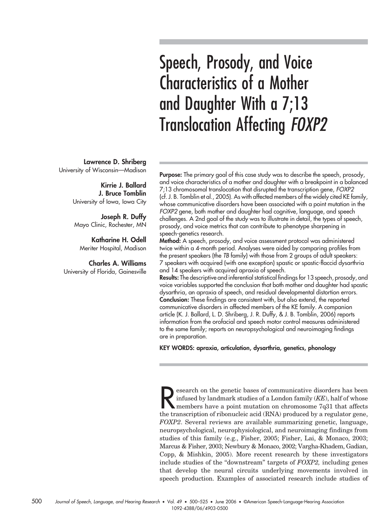Speech, Prosody, and Voice Characteristics of a Mother and Daughter With a 7;13 Translocation Affecting FOXP2

Lawrence D. Shriberg University of Wisconsin—Madison

> Kirrie J. Ballard J. Bruce Tomblin University of Iowa, Iowa City

Joseph R. Duffy Mayo Clinic, Rochester, MN

Katharine H. Odell Meriter Hospital, Madison

Charles A. Williams University of Florida, Gainesville Purpose: The primary goal of this case study was to describe the speech, prosody, and voice characteristics of a mother and daughter with a breakpoint in a balanced 7;13 chromosomal translocation that disrupted the transcription gene, FOXP2 (cf. J. B. Tomblin et al., 2005). As with affected members of the widely cited KE family, whose communicative disorders have been associated with a point mutation in the FOXP2 gene, both mother and daughter had cognitive, language, and speech challenges. A 2nd goal of the study was to illustrate in detail, the types of speech, prosody, and voice metrics that can contribute to phenotype sharpening in speech-genetics research.

Method: A speech, prosody, and voice assessment protocol was administered twice within a 4-month period. Analyses were aided by comparing profiles from the present speakers (the TB family) with those from 2 groups of adult speakers: 7 speakers with acquired (with one exception) spastic or spastic-flaccid dysarthria and 14 speakers with acquired apraxia of speech.

Results: The descriptive and inferential statistical findings for 13 speech, prosody, and voice variables supported the conclusion that both mother and daughter had spastic dysarthria, an apraxia of speech, and residual developmental distortion errors. Conclusion: These findings are consistent with, but also extend, the reported communicative disorders in affected members of the KE family. A companion article (K. J. Ballard, L. D. Shriberg, J. R. Duffy, & J. B. Tomblin, 2006) reports information from the orofacial and speech motor control measures administered to the same family; reports on neuropsychological and neuroimaging findings are in preparation.

KEY WORDS: apraxia, articulation, dysarthria, genetics, phonology

esearch on the genetic bases of communicative disorders has been infused by landmark studies of a London family (KE), half of whose members have a point mutation on chromosome 7q31 that affects the transcription of ribonucleic acid (RNA) produced by a regulator gene, FOXP2. Several reviews are available summarizing genetic, language, neuropsychological, neurophysiological, and neuroimaging findings from studies of this family (e.g., Fisher, 2005; Fisher, Lai, & Monaco, 2003; Marcus & Fisher, 2003; Newbury & Monaco, 2002; Vargha-Khadem, Gadian, Copp, & Mishkin, 2005). More recent research by these investigators include studies of the ''downstream'' targets of FOXP2, including genes that develop the neural circuits underlying movements involved in speech production. Examples of associated research include studies of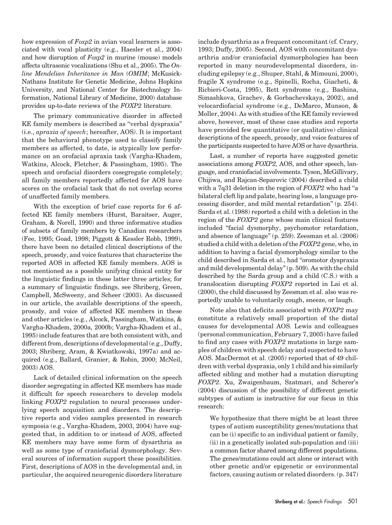how expression of  $F\alpha p2$  in avian vocal learners is associated with vocal plasticity (e.g., Haesler et al., 2004) and how disruption of Foxp2 in murine (mouse) models affects ultrasonic vocalizations (Shu et al., 2005). The Online Mendelian Inheritance in Man (OMIM; McKusick-Nathans Institute for Genetic Medicine, Johns Hopkins University, and National Center for Biotechnology Information, National Library of Medicine, 2000) database provides up-to-date reviews of the FOXP2 literature.

The primary communicative disorder in affected KE family members is described as "verbal dyspraxia" (i.e., apraxia of speech; hereafter, AOS). It is important that the behavioral phenotype used to classify family members as affected, to date, is atypically low performance on an orofacial apraxia task (Vargha-Khadem, Watkins, Alcock, Fletcher, & Passingham, 1995). The speech and orofacial disorders cosegregate completely; all family members reportedly affected for AOS have scores on the orofacial task that do not overlap scores of unaffected family members.

With the exception of brief case reports for 6 affected KE family members (Hurst, Baraitser, Auger, Graham, & Norell, 1990) and three informative studies of subsets of family members by Canadian researchers (Fee, 1995; Goad, 1998; Piggott & Kessler Robb, 1999), there have been no detailed clinical descriptions of the speech, prosody, and voice features that characterize the reported AOS in affected KE family members. AOS is not mentioned as a possible unifying clinical entity for the linguistic findings in these latter three articles; for a summary of linguistic findings, see Shriberg, Green, Campbell, McSweeny, and Scheer (2003). As discussed in our article, the available descriptions of the speech, prosody, and voice of affected KE members in these and other articles (e.g., Alcock, Passingham, Watkins, & Vargha-Khadem, 2000a, 2000b; Vargha-Khadem et al., 1995) include features that are both consistent with, and different from, descriptions of developmental (e.g., Duffy, 2003; Shriberg, Aram, & Kwiatkowski, 1997a) and acquired (e.g., Ballard, Granier, & Robin, 2000; McNeil, 2003) AOS.

Lack of detailed clinical information on the speech disorder segregating in affected KE members has made it difficult for speech researchers to develop models linking *FOXP2* regulation to neural processes underlying speech acquisition and disorders. The descriptive reports and video samples presented in research symposia (e.g., Vargha-Khadem, 2003, 2004) have suggested that, in addition to or instead of AOS, affected KE members may have some form of dysarthria as well as some type of craniofacial dysmorphology. Several sources of information support these possibilities. First, descriptions of AOS in the developmental and, in particular, the acquired neurogenic disorders literature

include dysarthria as a frequent concomitant (cf. Crary, 1993; Duffy, 2005). Second, AOS with concomitant dysarthria and/or craniofacial dysmorphologies has been reported in many neurodevelopmental disorders, including epilepsy (e.g., Shuper, Stahl, & Mimouni, 2000), fragile X syndrome (e.g., Spinelli, Rocha, Giacheti, & Ricbieri-Costa, 1995), Rett syndrome (e.g., Bashina, Simashkova, Grachev, & Gorbachevskaya, 2002), and velocardiofacial syndrome (e.g., DeMarco, Munson, & Moller, 2004). As with studies of the KE family reviewed above, however, most of these case studies and reports have provided few quantitative (or qualitative) clinical descriptions of the speech, prosody, and voice features of the participants suspected to have AOS or have dysarthria.

Last, a number of reports have suggested genetic associations among FOXP2, AOS, and other speech, language, and craniofacial involvements. Tyson, McGillivary, Chijiwa, and Rajcan-Separovic (2004) described a child with a  $7q31$  deletion in the region of  $FOXP2$  who had "a bilateral cleft lip and palate, hearing loss, a language processing disorder, and mild mental retardation'' (p. 254). Sarda et al. (1988) reported a child with a deletion in the region of the FOXP2 gene whose main clinical features included ''facial dysmorphy, psychomotor retardation, and absence of language'' (p. 259). Zeesman et al. (2006) studied a child with a deletion of the FOXP2 gene, who, in addition to having a facial dysmorphology similar to the child described in Sarda et al., had ''oromotor dyspraxia and mild developmental delay'' (p. 509). As with the child described by the Sarda group and a child (C.S.) with a translocation disrupting FOXP2 reported in Lai et al. (2000), the child discussed by Zeesman et al. also was reportedly unable to voluntarily cough, sneeze, or laugh.

Note also that deficits associated with FOXP2 may constitute a relatively small proportion of the distal causes for developmental AOS. Lewis and colleagues (personal communication, February 7, 2005) have failed to find any cases with FOXP2 mutations in large samples of children with speech delay and suspected to have AOS. MacDermot et al. (2005) reported that of 49 children with verbal dyspraxia, only 1 child and his similarly affected sibling and mother had a mutation disrupting FOXP2. Xu, Zwaigenbaum, Szatmari, and Scherer's (2004) discussion of the possibility of different genetic subtypes of autism is instructive for our focus in this research:

We hypothesize that there might be at least three types of autism susceptibility genes/mutations that can be (i) specific to an individual patient or family, (ii) in a genetically isolated sub-population and (iii) a common factor shared among different populations. The genes/mutations could act alone or interact with other genetic and/or epigenetic or environmental factors, causing autism or related disorders. (p. 347)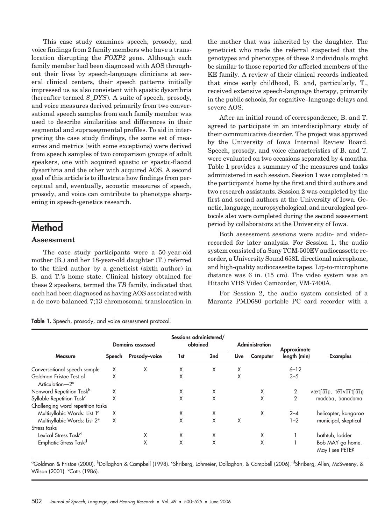This case study examines speech, prosody, and voice findings from 2 family members who have a translocation disrupting the FOXP2 gene. Although each family member had been diagnosed with AOS throughout their lives by speech-language clinicians at several clinical centers, their speech patterns initially impressed us as also consistent with spastic dysarthria (hereafter termed S\_DYS). A suite of speech, prosody, and voice measures derived primarily from two conversational speech samples from each family member was used to describe similarities and differences in their segmental and suprasegmental profiles. To aid in interpreting the case study findings, the same set of measures and metrics (with some exceptions) were derived from speech samples of two comparison groups of adult speakers, one with acquired spastic or spastic-flaccid dysarthria and the other with acquired AOS. A second goal of this article is to illustrate how findings from perceptual and, eventually, acoustic measures of speech, prosody, and voice can contribute to phenotype sharpening in speech-genetics research.

# **Method**

### Assessment

The case study participants were a 50-year-old mother (B.) and her 18-year-old daughter (T.) referred to the third author by a geneticist (sixth author) in B. and T.'s home state. Clinical history obtained for these 2 speakers, termed the TB family, indicated that each had been diagnosed as having AOS associated with a de novo balanced 7;13 chromosomal translocation in

Table 1. Speech, prosody, and voice assessment protocol.

the mother that was inherited by the daughter. The geneticist who made the referral suspected that the genotypes and phenotypes of these 2 individuals might be similar to those reported for affected members of the KE family. A review of their clinical records indicated that since early childhood, B. and, particularly, T., received extensive speech-language therapy, primarily in the public schools, for cognitive–language delays and severe AOS.

After an initial round of correspondence, B. and T. agreed to participate in an interdisciplinary study of their communicative disorder. The project was approved by the University of Iowa Internal Review Board. Speech, prosody, and voice characteristics of B. and T. were evaluated on two occasions separated by 4 months. Table 1 provides a summary of the measures and tasks administered in each session. Session 1 was completed in the participants' home by the first and third authors and two research assistants. Session 2 was completed by the first and second authors at the University of Iowa. Genetic, language, neuropsychological, and neurological protocols also were completed during the second assessment period by collaborators at the University of Iowa.

Both assessment sessions were audio- and videorecorded for later analysis. For Session 1, the audio system consisted of a Sony TCM-500EV audiocassette recorder, a University Sound 658L directional microphone, and high-quality audiocassette tapes. Lip-to-microphone distance was 6 in. (15 cm). The video system was an Hitachi VHS Video Camcorder, VM-7400A.

For Session 2, the audio system consisted of a Marantz PMD680 portable PC card recorder with a

|                                                       |        | <b>Domains assessed</b> |     | Sessions administered/<br>obtained |      | <b>Administration</b> | Approximate    |                                                       |
|-------------------------------------------------------|--------|-------------------------|-----|------------------------------------|------|-----------------------|----------------|-------------------------------------------------------|
| <b>Measure</b>                                        | Speech | Prosody-voice           | 1st | 2 <sub>nd</sub>                    | Live | Computer              | length (min)   | <b>Examples</b>                                       |
| Conversational speech sample                          | X      | X                       | X   | X                                  | X    |                       | $6 - 12$       |                                                       |
| Goldman Fristoe Test of<br>Articulation- $2^{\alpha}$ | X      |                         | X   |                                    | X    |                       | $3 - 5$        |                                                       |
| Nonword Repetition Task <sup>b</sup>                  | Χ      |                         | X   | X                                  |      | Χ                     | 2              | $v$ ætf $\overline{a}$ rp, tervortf $\overline{a}$ rg |
| Syllable Repetition Task <sup>c</sup>                 | X      |                         | X   | X                                  |      | X                     | $\overline{2}$ | madaba, banadama                                      |
| Challenging word repetition tasks                     |        |                         |     |                                    |      |                       |                |                                                       |
| Multisyllabic Words: List 1d                          | Χ      |                         | X   | Χ                                  |      | X                     | $2 - 4$        | helicopter, kangaroo                                  |
| Multisyllabic Words: List 2 <sup>e</sup>              | X      |                         | X   | X                                  | X    |                       | $1 - 2$        | municipal, skeptical                                  |
| Stress tasks                                          |        |                         |     |                                    |      |                       |                |                                                       |
| Lexical Stress Task <sup>d</sup>                      |        | X                       | X   | X                                  |      | Χ                     |                | bathtub, ladder                                       |
| Emphatic Stress Task <sup>d</sup>                     |        | χ                       | X   | Χ                                  |      | Χ                     |                | Bob MAY go home.<br>May I see PETE?                   |

<sup>a</sup>Goldman & Fristoe (2000). <sup>b</sup>Dollaghan & Campbell (1998). <sup>c</sup>Shriberg, Lohmeier, Dollaghan, & Campbell (2006). <sup>d</sup>Shriberg, Allen, McSweeny, & Wilson (2001). <sup>e</sup>Catts (1986).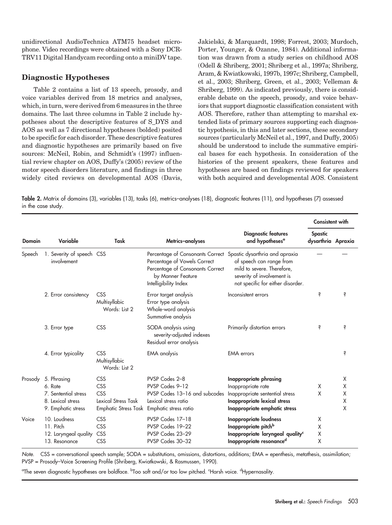unidirectional AudioTechnica ATM75 headset microphone. Video recordings were obtained with a Sony DCR-TRV11 Digital Handycam recording onto a miniDV tape.

### Diagnostic Hypotheses

Table 2 contains a list of 13 speech, prosody, and voice variables derived from 18 metrics and analyses, which, in turn, were derived from 6 measures in the three domains. The last three columns in Table 2 include hypotheses about the descriptive features of S\_DYS and AOS as well as 7 directional hypotheses (bolded) posited to be specific for each disorder. These descriptive features and diagnostic hypotheses are primarily based on five sources: McNeil, Robin, and Schmidt's (1997) influential review chapter on AOS, Duffy's (2005) review of the motor speech disorders literature, and findings in three widely cited reviews on developmental AOS (Davis, Jakielski, & Marquardt, 1998; Forrest, 2003; Murdoch, Porter, Younger, & Ozanne, 1984). Additional information was drawn from a study series on childhood AOS (Odell & Shriberg, 2001; Shriberg et al., 1997a; Shriberg, Aram, & Kwiatkowski, 1997b, 1997c; Shriberg, Campbell, et al., 2003; Shriberg, Green, et al., 2003; Velleman & Shriberg, 1999). As indicated previously, there is considerable debate on the speech, prosody, and voice behaviors that support diagnostic classification consistent with AOS. Therefore, rather than attempting to marshal extended lists of primary sources supporting each diagnostic hypothesis, in this and later sections, these secondary sources (particularly McNeil et al., 1997, and Duffy, 2005) should be understood to include the summative empirical bases for each hypothesis. In consideration of the histories of the present speakers, these features and hypotheses are based on findings reviewed for speakers with both acquired and developmental AOS. Consistent

Table 2. Matrix of domains (3), variables (13), tasks (6), metrics–analyses (18), diagnostic features (11), and hypotheses (7) assessed in the case study.

|               |                                          |                                              |                                                                                                                                                                                   |                                                                                                                           | <b>Consistent with</b>               |         |
|---------------|------------------------------------------|----------------------------------------------|-----------------------------------------------------------------------------------------------------------------------------------------------------------------------------------|---------------------------------------------------------------------------------------------------------------------------|--------------------------------------|---------|
| <b>Domain</b> | Variable                                 | Task                                         | Metrics-analyses                                                                                                                                                                  | <b>Diagnostic features</b><br>and hypotheses <sup>a</sup>                                                                 | <b>Spastic</b><br>dysarthria Apraxia |         |
| Speech        | 1. Severity of speech CSS<br>involvement |                                              | Percentage of Consonants Correct Spastic dysarthria and apraxia<br>Percentage of Vowels Correct<br>Percentage of Consonants Correct<br>by Manner Feature<br>Intelligibility Index | of speech can range from<br>mild to severe. Therefore,<br>severity of involvement is<br>not specific for either disorder. |                                      |         |
|               | 2. Error consistency                     | <b>CSS</b><br>Multisyllabic<br>Words: List 2 | Error target analysis<br>Error type analysis<br>Whole-word analysis<br>Summative analysis                                                                                         | Inconsistent errors                                                                                                       | Ŝ                                    | Ŝ       |
|               | 3. Error type                            | CSS                                          | SODA analysis using<br>severity-adjusted indexes<br>Residual error analysis                                                                                                       | Primarily distortion errors                                                                                               | ŝ                                    | ŝ       |
|               | 4. Error typicality                      | <b>CSS</b><br>Multisyllabic<br>Words: List 2 | <b>EMA</b> analysis                                                                                                                                                               | <b>EMA</b> errors                                                                                                         |                                      | S       |
| Prosody       | 5. Phrasing                              | <b>CSS</b>                                   | PVSP Codes 2-8                                                                                                                                                                    | Inappropriate phrasing                                                                                                    |                                      | Χ       |
|               | 6. Rate                                  | <b>CSS</b>                                   | PVSP Codes 9-12                                                                                                                                                                   | Inappropriate rate                                                                                                        | X                                    | X       |
|               | 7. Sentential stress                     | CSS                                          | PVSP Codes 13-16 and subcodes                                                                                                                                                     | Inappropriate sentential stress                                                                                           | X                                    | X       |
|               | 8. Lexical stress                        | Lexical Stress Task                          | Lexical stress ratio                                                                                                                                                              | Inappropriate lexical stress                                                                                              |                                      | $\sf X$ |
|               | 9. Emphatic stress                       |                                              | Emphatic Stress Task Emphatic stress ratio                                                                                                                                        | Inappropriate emphatic stress                                                                                             |                                      | X       |
| Voice         | 10. Loudness                             | <b>CSS</b>                                   | PVSP Codes 17-18                                                                                                                                                                  | Inappropriate loudness                                                                                                    | Χ                                    |         |
|               | 11. Pitch                                | CSS                                          | PVSP Codes 19-22                                                                                                                                                                  | Inappropriate pitch <sup>b</sup>                                                                                          | X                                    |         |
|               | 12. Laryngeal quality                    | <b>CSS</b>                                   | PVSP Codes 23-29                                                                                                                                                                  | Inappropriate laryngeal quality <sup>c</sup>                                                                              | Χ                                    |         |
|               | 13. Resonance                            | CSS                                          | PVSP Codes 30-32                                                                                                                                                                  | Inappropriate resonanced                                                                                                  | Χ                                    |         |

Note. CSS = conversational speech sample; SODA = substitutions, omissions, distortions, additions; EMA = epenthesis, metathesis, assimilation; PVSP = Prosody–Voice Screening Profile (Shriberg, Kwiatkowski, & Rasmussen, 1990).

<sup>a</sup>The seven diagnostic hypotheses are boldface. <sup>b</sup>Too soft and/or too low pitched. <sup>c</sup>Harsh voice. <sup>d</sup>Hypernasality.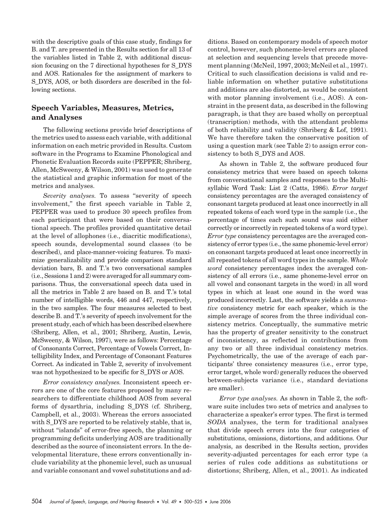with the descriptive goals of this case study, findings for B. and T. are presented in the Results section for all 13 of the variables listed in Table 2, with additional discussion focusing on the 7 directional hypotheses for S\_DYS and AOS. Rationales for the assignment of markers to S\_DYS, AOS, or both disorders are described in the following sections.

### Speech Variables, Measures, Metrics, and Analyses

The following sections provide brief descriptions of the metrics used to assess each variable, with additional information on each metric provided in Results. Custom software in the Programs to Examine Phonological and Phonetic Evaluation Records suite (PEPPER; Shriberg, Allen, McSweeny, & Wilson, 2001) was used to generate the statistical and graphic information for most of the metrics and analyses.

Severity analyses. To assess "severity of speech involvement,'' the first speech variable in Table 2, PEPPER was used to produce 30 speech profiles from each participant that were based on their conversational speech. The profiles provided quantitative detail at the level of allophones (i.e., diacritic modifications), speech sounds, developmental sound classes (to be described), and place-manner-voicing features. To maximize generalizability and provide comparison standard deviation bars, B. and T.'s two conversational samples (i.e., Sessions 1 and 2) were averaged for all summary comparisons. Thus, the conversational speech data used in all the metrics in Table 2 are based on B. and T.'s total number of intelligible words, 446 and 447, respectively, in the two samples. The four measures selected to best describe B. and T.'s severity of speech involvement for the present study, each of which has been described elsewhere (Shriberg, Allen, et al., 2001; Shriberg, Austin, Lewis, McSweeny, & Wilson, 1997), were as follows: Percentage of Consonants Correct, Percentage of Vowels Correct, Intelligibility Index, and Percentage of Consonant Features Correct. As indicated in Table 2, severity of involvement was not hypothesized to be specific for S\_DYS or AOS.

Error consistency analyses. Inconsistent speech errors are one of the core features proposed by many researchers to differentiate childhood AOS from several forms of dysarthria, including S\_DYS (cf. Shriberg, Campbell, et al., 2003). Whereas the errors associated with S\_DYS are reported to be relatively stable, that is, without "islands" of error-free speech, the planning or programming deficits underlying AOS are traditionally described as the source of inconsistent errors. In the developmental literature, these errors conventionally include variability at the phonemic level, such as unusual and variable consonant and vowel substitutions and additions. Based on contemporary models of speech motor control, however, such phoneme-level errors are placed at selection and sequencing levels that precede movement planning (McNeil, 1997, 2003; McNeil et al., 1997). Critical to such classification decisions is valid and reliable information on whether putative substitutions and additions are also distorted, as would be consistent with motor planning involvement (i.e., AOS). A constraint in the present data, as described in the following paragraph, is that they are based wholly on perceptual (transcription) methods, with the attendant problems of both reliability and validity (Shriberg & Lof, 1991). We have therefore taken the conservative position of using a question mark (see Table 2) to assign error consistency to both S\_DYS and AOS.

As shown in Table 2, the software produced four consistency metrics that were based on speech tokens from conversational samples and responses to the Multisyllabic Word Task: List 2 (Catts, 1986). Error target consistency percentages are the averaged consistency of consonant targets produced at least once incorrectly in all repeated tokens of each word type in the sample (i.e., the percentage of times each such sound was said either correctly or incorrectly in repeated tokens of a word type). Error type consistency percentages are the averaged consistency of error types (i.e., the same phonemic-level error) on consonant targets produced at least once incorrectly in all repeated tokens of all word types in the sample. Whole word consistency percentages index the averaged consistency of all errors (i.e., same phoneme-level error on all vowel and consonant targets in the word) in all word types in which at least one sound in the word was produced incorrectly. Last, the software yields a summative consistency metric for each speaker, which is the simple average of scores from the three individual consistency metrics. Conceptually, the summative metric has the property of greater sensitivity to the construct of inconsistency, as reflected in contributions from any two or all three individual consistency metrics. Psychometrically, the use of the average of each participants' three consistency measures (i.e., error type, error target, whole word) generally reduces the observed between-subjects variance (i.e., standard deviations are smaller).

Error type analyses. As shown in Table 2, the software suite includes two sets of metrics and analyses to characterize a speaker's error types. The first is termed SODA analyses, the term for traditional analyses that divide speech errors into the four categories of substitutions, omissions, distortions, and additions. Our analysis, as described in the Results section, provides severity-adjusted percentages for each error type (a series of rules code additions as substitutions or distortions; Shriberg, Allen, et al., 2001). As indicated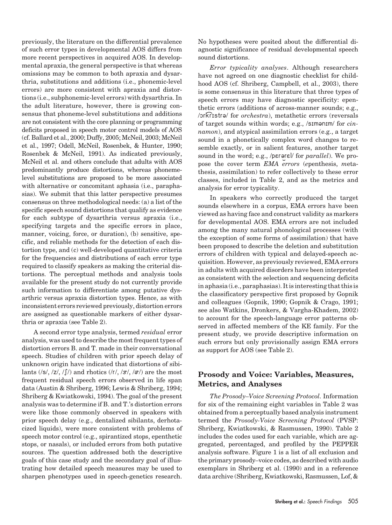previously, the literature on the differential prevalence of such error types in developmental AOS differs from more recent perspectives in acquired AOS. In developmental apraxia, the general perspective is that whereas omissions may be common to both apraxia and dysarthria, substitutions and additions (i.e., phonemic-level errors) are more consistent with apraxia and distortions (i.e., subphonemic-level errors) with dysarthria. In the adult literature, however, there is growing consensus that phoneme-level substitutions and additions are not consistent with the core planning or programming deficits proposed in speech motor control models of AOS (cf. Ballard et al., 2000; Duffy, 2005; McNeil, 2003; McNeil et al., 1997; Odell, McNeil, Rosenbek, & Hunter, 1990; Rosenbek & McNeil, 1991). As indicated previously, McNeil et al. and others conclude that adults with AOS predominantly produce distortions, whereas phonemelevel substitutions are proposed to be more associated with alternative or concomitant aphasia (i.e., paraphasias). We submit that this latter perspective presumes consensus on three methodological needs: (a) a list of the specific speech sound distortions that qualify as evidence for each subtype of dysarthria versus apraxia (i.e., specifying targets and the specific errors in place, manner, voicing, force, or duration), (b) sensitive, specific, and reliable methods for the detection of each distortion type, and (c) well-developed quantitative criteria for the frequencies and distributions of each error type required to classify speakers as making the criterial distortions. The perceptual methods and analysis tools available for the present study do not currently provide such information to differentiate among putative dysarthric versus apraxia distortion types. Hence, as with inconsistent errors reviewed previously, distortion errors are assigned as questionable markers of either dysarthria or apraxia (see Table 2).

A second error type analysis, termed residual error analysis, was used to describe the most frequent types of distortion errors B. and T. made in their conversational speech. Studies of children with prior speech delay of unknown origin have indicated that distortions of sibilants  $(\sqrt{s}, \sqrt{z}, \sqrt{\zeta})$  and rhotics  $(\sqrt{r}, \sqrt{s}, \sqrt{\zeta})$  are the most frequent residual speech errors observed in life span data (Austin & Shriberg, 1996; Lewis & Shriberg, 1994; Shriberg & Kwiatkowski, 1994). The goal of the present analysis was to determine if B. and T.'s distortion errors were like those commonly observed in speakers with prior speech delay (e.g., dentalized sibilants, derhotacized liquids), were more consistent with problems of speech motor control (e.g., spirantized stops, epenthetic stops, or nasals), or included errors from both putative sources. The question addressed both the descriptive goals of this case study and the secondary goal of illustrating how detailed speech measures may be used to sharpen phenotypes used in speech-genetics research. No hypotheses were posited about the differential diagnostic significance of residual developmental speech sound distortions.

Error typicality analyses. Although researchers have not agreed on one diagnostic checklist for childhood AOS (cf. Shriberg, Campbell, et al., 2003), there is some consensus in this literature that three types of speech errors may have diagnostic specificity: epenthetic errors (additions of across-manner sounds; e.g.,  $\sqrt{2}$ rk $\frac{r}{s}$ rstra $\frac{r}{s}$  for *orchestra*), metathetic errors (reversals of target sounds within words; e.g.,  $\sin\theta$  for cinnamon), and atypical assimilation errors (e.g., a target sound in a phonetically complex word changes to resemble exactly, or in salient features, another target sound in the word; e.g., /perorel/ for *parallel*). We propose the cover term EMA errors (epenthesis, metathesis, assimilation) to refer collectively to these error classes, included in Table 2, and as the metrics and analysis for error typicality.

In speakers who correctly produced the target sounds elsewhere in a corpus, EMA errors have been viewed as having face and construct validity as markers for developmental AOS. EMA errors are not included among the many natural phonological processes (with the exception of some forms of assimilation) that have been proposed to describe the deletion and substitution errors of children with typical and delayed-speech acquisition. However, as previously reviewed, EMA errors in adults with acquired disorders have been interpreted as consistent with the selection and sequencing deficits in aphasia (i.e., paraphasias). It is interesting that this is the classificatory perspective first proposed by Gopnik and colleagues (Gopnik, 1990; Gopnik & Crago, 1991; see also Watkins, Dronkers, & Vargha-Khadem, 2002) to account for the speech-language error patterns observed in affected members of the KE family. For the present study, we provide descriptive information on such errors but only provisionally assign EMA errors as support for AOS (see Table 2).

### Prosody and Voice: Variables, Measures, Metrics, and Analyses

The Prosody–Voice Screening Protocol. Information for six of the remaining eight variables in Table 2 was obtained from a perceptually based analysis instrument termed the Prosody-Voice Screening Protocol (PVSP: Shriberg, Kwiatkowski, & Rasmussen, 1990). Table 2 includes the codes used for each variable, which are aggregated, percentaged, and profiled by the PEPPER analysis software. Figure 1 is a list of all exclusion and the primary prosody–voice codes, as described with audio exemplars in Shriberg et al. (1990) and in a reference data archive (Shriberg, Kwiatkowski, Rasmussen, Lof, &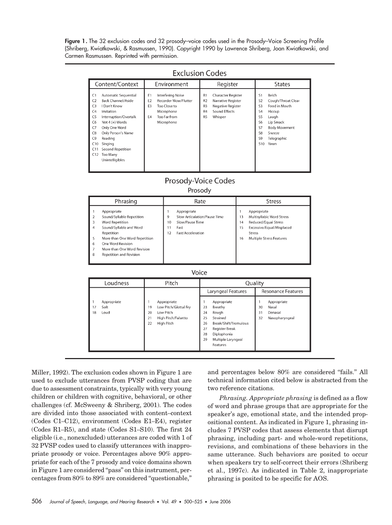Figure 1. The 32 exclusion codes and 32 prosody–voice codes used in the Prosody–Voice Screening Profile (Shriberg, Kwiatkowski, & Rasmussen, 1990). Copyright 1990 by Lawrence Shriberg, Joan Kwiatkowski, and Carmen Rasmussen. Reprinted with permission.

|                                                                                                                                                                | <b>Exclusion Codes</b>                                                                                                                                                                                                               |                                              |                                                                                                       |                                                                            |                                                                                           |                                                                                                           |                                                                                                                                       |  |  |  |  |  |
|----------------------------------------------------------------------------------------------------------------------------------------------------------------|--------------------------------------------------------------------------------------------------------------------------------------------------------------------------------------------------------------------------------------|----------------------------------------------|-------------------------------------------------------------------------------------------------------|----------------------------------------------------------------------------|-------------------------------------------------------------------------------------------|-----------------------------------------------------------------------------------------------------------|---------------------------------------------------------------------------------------------------------------------------------------|--|--|--|--|--|
|                                                                                                                                                                | Content/Context                                                                                                                                                                                                                      |                                              | Environment                                                                                           |                                                                            | Register                                                                                  |                                                                                                           | <b>States</b>                                                                                                                         |  |  |  |  |  |
| C <sub>1</sub><br>C <sub>2</sub><br>C <sub>3</sub><br>C <sub>4</sub><br>C <sub>5</sub><br>C <sub>6</sub><br>$C$ 7<br>C <sub>8</sub><br>C9<br>C10<br>C11<br>C12 | Automatic Sequential<br>Back Channel/Aside<br>I Don't Know<br>Imitation<br>Interruption/Overtalk<br>Not 4 (+) Words<br>Only One Word<br>Only Person's Name<br>Reading<br>Singing<br>Second Repetition<br>Too Many<br>Unintelligibles | E <sub>1</sub><br>E <sub>2</sub><br>E3<br>E4 | Interfering Noise<br>Recorder Wow/Flutter<br>Too Close to<br>Microphone<br>Too Far from<br>Microphone | R1<br>R <sub>2</sub><br>R <sub>3</sub><br>R <sub>4</sub><br>R <sub>5</sub> | Character Register<br>Narrative Register<br>Negative Register<br>Sound Effects<br>Whisper | S <sub>1</sub><br>S <sub>2</sub><br>S <sub>3</sub><br>S4<br>S5<br>S6<br>S7<br>S8<br>S9<br>S <sub>10</sub> | Belch<br>Cough/Throat Clear<br>Food in Mouth<br>Hiccup<br>Laugh<br>Lip Smack<br><b>Body Movement</b><br>Sneeze<br>Telegraphic<br>Yawn |  |  |  |  |  |

### Prosody-Voice Codes

Prosodv

|                        | Phrasing                                                                                                                                                                                                             |   |                                                                               | Rate                         | <b>Stress</b>        |                                                                                                                                            |  |  |
|------------------------|----------------------------------------------------------------------------------------------------------------------------------------------------------------------------------------------------------------------|---|-------------------------------------------------------------------------------|------------------------------|----------------------|--------------------------------------------------------------------------------------------------------------------------------------------|--|--|
| 3<br>4<br>5.<br>6<br>8 | Appropriate<br>Sound/Syllable Repetition<br>Word Repetition<br>Sound/Syllable and Word<br>Repetition<br>More than One Word Repetition<br>One Word Revision<br>More than One Word Revision<br>Repetition and Revision | 9 | Appropriate<br>Slow/Pause Time<br>10<br>Fast<br>11<br>Fast/Acceleration<br>12 | Slow Articulation/Pause Time | 13<br>14<br>15<br>16 | Appropriate<br>Multisyllabic Word Stress<br>Reduced/Equal Stress<br>Excessive/Equal/Misplaced<br><b>Stress</b><br>Multiple Stress Features |  |  |
| Voice                  |                                                                                                                                                                                                                      |   |                                                                               |                              |                      |                                                                                                                                            |  |  |
|                        | Loudness                                                                                                                                                                                                             |   | Pitch                                                                         |                              |                      | Quality                                                                                                                                    |  |  |
|                        |                                                                                                                                                                                                                      |   |                                                                               | Laryngeal Features           |                      | <b>Resonance Features</b>                                                                                                                  |  |  |

| Loudness                                |                      | Pitch                                                                                  | Quality                                |                                                                                                                                         |                |                                                   |  |  |  |  |
|-----------------------------------------|----------------------|----------------------------------------------------------------------------------------|----------------------------------------|-----------------------------------------------------------------------------------------------------------------------------------------|----------------|---------------------------------------------------|--|--|--|--|
|                                         |                      |                                                                                        |                                        | Laryngeal Features                                                                                                                      |                | <b>Resonance Features</b>                         |  |  |  |  |
| Appropriate<br>Soft<br>17<br>18<br>Loud | 19<br>20<br>21<br>22 | Appropriate<br>Low Pitch/Glottal Fry<br>Low Pitch<br>High Pitch/Falsetto<br>High Pitch | 23<br>24<br>25<br>26<br>27<br>28<br>29 | Appropriate<br>Breathy<br>Rough<br>Strained<br>Break/Shift/Tremulous<br>Register Break<br>Diplophonia<br>Multiple Laryngeal<br>Features | 30<br>31<br>32 | Appropriate<br>Nasal<br>Denasal<br>Nasopharyngeal |  |  |  |  |

Miller, 1992). The exclusion codes shown in Figure 1 are used to exclude utterances from PVSP coding that are due to assessment constraints, typically with very young children or children with cognitive, behavioral, or other challenges (cf. McSweeny & Shriberg, 2001). The codes are divided into those associated with content–context (Codes C1–C12), environment (Codes E1–E4), register (Codes R1–R5), and state (Codes S1–S10). The first 24 eligible (i.e., nonexcluded) utterances are coded with 1 of 32 PVSP codes used to classify utterances with inappropriate prosody or voice. Percentages above 90% appropriate for each of the 7 prosody and voice domains shown in Figure 1 are considered ''pass'' on this instrument, percentages from 80% to 89% are considered ''questionable,''

and percentages below 80% are considered "fails." All technical information cited below is abstracted from the two reference citations.

Phrasing. Appropriate phrasing is defined as a flow of word and phrase groups that are appropriate for the speaker's age, emotional state, and the intended propositional content. As indicated in Figure 1, phrasing includes 7 PVSP codes that assess elements that disrupt phrasing, including part- and whole-word repetitions, revisions, and combinations of these behaviors in the same utterance. Such behaviors are posited to occur when speakers try to self-correct their errors (Shriberg et al., 1997c). As indicated in Table 2, inappropriate phrasing is posited to be specific for AOS.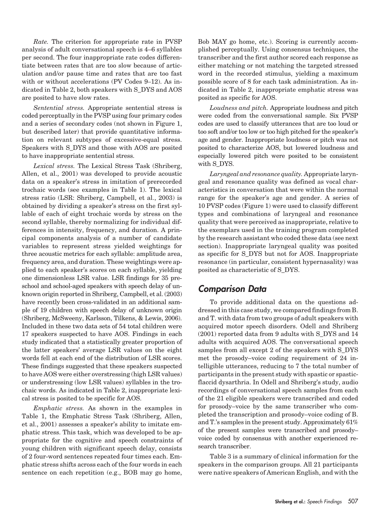Rate. The criterion for appropriate rate in PVSP analysis of adult conversational speech is 4–6 syllables per second. The four inappropriate rate codes differentiate between rates that are too slow because of articulation and/or pause time and rates that are too fast with or without accelerations (PV Codes 9–12). As indicated in Table 2, both speakers with S\_DYS and AOS are posited to have slow rates.

Sentential stress. Appropriate sentential stress is coded perceptually in the PVSP using four primary codes and a series of secondary codes (not shown in Figure 1, but described later) that provide quantitative information on relevant subtypes of excessive-equal stress. Speakers with S\_DYS and those with AOS are posited to have inappropriate sentential stress.

Lexical stress. The Lexical Stress Task (Shriberg, Allen, et al., 2001) was developed to provide acoustic data on a speaker's stress in imitation of prerecorded trochaic words (see examples in Table 1). The lexical stress ratio (LSR: Shriberg, Campbell, et al., 2003) is obtained by dividing a speaker's stress on the first syllable of each of eight trochaic words by stress on the second syllable, thereby normalizing for individual differences in intensity, frequency, and duration. A principal components analysis of a number of candidate variables to represent stress yielded weightings for three acoustic metrics for each syllable: amplitude area, frequency area, and duration. These weightings were applied to each speaker's scores on each syllable, yielding one dimensionless LSR value. LSR findings for 35 preschool and school-aged speakers with speech delay of unknown origin reported in Shriberg, Campbell, et al. (2003) have recently been cross-validated in an additional sample of 19 children with speech delay of unknown origin (Shriberg, McSweeny, Karlsson, Tilkens, & Lewis, 2006). Included in these two data sets of 54 total children were 17 speakers suspected to have AOS. Findings in each study indicated that a statistically greater proportion of the latter speakers' average LSR values on the eight words fell at each end of the distribution of LSR scores. These findings suggested that these speakers suspected to have AOS were either overstressing (high LSR values) or understressing (low LSR values) syllables in the trochaic words. As indicated in Table 2, inappropriate lexical stress is posited to be specific for AOS.

Emphatic stress. As shown in the examples in Table 1, the Emphatic Stress Task (Shriberg, Allen, et al., 2001) assesses a speaker's ability to imitate emphatic stress. This task, which was developed to be appropriate for the cognitive and speech constraints of young children with significant speech delay, consists of 2 four-word sentences repeated four times each. Emphatic stress shifts across each of the four words in each sentence on each repetition (e.g., BOB may go home, Bob MAY go home, etc.). Scoring is currently accomplished perceptually. Using consensus techniques, the transcriber and the first author scored each response as either matching or not matching the targeted stressed word in the recorded stimulus, yielding a maximum possible score of 8 for each task administration. As indicated in Table 2, inappropriate emphatic stress was posited as specific for AOS.

Loudness and pitch. Appropriate loudness and pitch were coded from the conversational sample. Six PVSP codes are used to classify utterances that are too loud or too soft and/or too low or too high pitched for the speaker's age and gender. Inappropriate loudness or pitch was not posited to characterize AOS, but lowered loudness and especially lowered pitch were posited to be consistent with S\_DYS.

Laryngeal and resonance quality. Appropriate laryngeal and resonance quality was defined as vocal characteristics in conversation that were within the normal range for the speaker's age and gender. A series of 10 PVSP codes (Figure 1) were used to classify different types and combinations of laryngeal and resonance quality that were perceived as inappropriate, relative to the exemplars used in the training program completed by the research assistant who coded these data (see next section). Inappropriate laryngeal quality was posited as specific for S\_DYS but not for AOS. Inappropriate resonance (in particular, consistent hypernasality) was posited as characteristic of S\_DYS.

## Comparison Data

To provide additional data on the questions addressed in this case study, we compared findings from B. and T. with data from two groups of adult speakers with acquired motor speech disorders. Odell and Shriberg (2001) reported data from 9 adults with S\_DYS and 14 adults with acquired AOS. The conversational speech samples from all except 2 of the speakers with S\_DYS met the prosody–voice coding requirement of 24 intelligible utterances, reducing to 7 the total number of participants in the present study with spastic or spasticflaccid dysarthria. In Odell and Shriberg's study, audio recordings of conversational speech samples from each of the 21 eligible speakers were transcribed and coded for prosody–voice by the same transcriber who completed the transcription and prosody–voice coding of B. and T.'s samples in the present study. Approximately 61% of the present samples were transcribed and prosody– voice coded by consensus with another experienced research transcriber.

Table 3 is a summary of clinical information for the speakers in the comparison groups. All 21 participants were native speakers of American English, and with the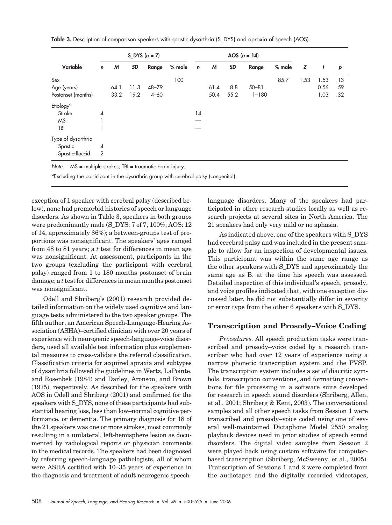Table 3. Description of comparison speakers with spastic dysarthria (S\_DYS) and apraxia of speech (AOS).

|                       |                |      |           | S_DYS $(n = 7)$ |          |             |      |           | AOS $(n = 14)$ |          |      |      |     |
|-----------------------|----------------|------|-----------|-----------------|----------|-------------|------|-----------|----------------|----------|------|------|-----|
| Variable              | $\mathbf n$    | M    | <b>SD</b> | Range           | $%$ male | $\mathbf n$ | M    | <b>SD</b> | Range          | $%$ male | z    | t    | p   |
| Sex                   |                |      |           |                 | 100      |             |      |           |                | 85.7     | 1.53 | 1.53 | .13 |
| Age (years)           |                | 64.1 | 11.3      | 48-79           |          |             | 61.4 | 8.8       | $50 - 81$      |          |      | 0.56 | .59 |
| Postonset (months)    |                | 33.2 | 19.2      | $4 - 60$        |          |             | 50.4 | 55.2      | $1 - 180$      |          |      | 1.03 | .32 |
| Etiology <sup>a</sup> |                |      |           |                 |          |             |      |           |                |          |      |      |     |
| Stroke                | $\overline{4}$ |      |           |                 |          | 14          |      |           |                |          |      |      |     |
| <b>MS</b>             |                |      |           |                 |          |             |      |           |                |          |      |      |     |
| TBI                   |                |      |           |                 |          |             |      |           |                |          |      |      |     |
| Type of dysarthria    |                |      |           |                 |          |             |      |           |                |          |      |      |     |
| Spastic               | 4              |      |           |                 |          |             |      |           |                |          |      |      |     |
| Spastic-flaccid       | $\overline{2}$ |      |           |                 |          |             |      |           |                |          |      |      |     |

<sup>a</sup> Excluding the participant in the dysarthric group with cerebral palsy (congenital).

exception of 1 speaker with cerebral palsy (described below), none had premorbid histories of speech or language disorders. As shown in Table 3, speakers in both groups were predominantly male (S\_DYS: 7 of 7, 100%; AOS: 12 of 14, approximately 86%); a between-groups test of proportions was nonsignificant. The speakers' ages ranged from 48 to 81 years; a  $t$  test for differences in mean age was nonsignificant. At assessment, participants in the two groups (excluding the participant with cerebral palsy) ranged from 1 to 180 months postonset of brain  $d$ amage; a t test for differences in mean months postonset was nonsignificant.

Odell and Shriberg's (2001) research provided detailed information on the widely used cognitive and language tests administered to the two speaker groups. The fifth author, an American Speech-Language-Hearing Association (ASHA)–certified clinician with over 20 years of experience with neurogenic speech-language-voice disorders, used all available test information plus supplemental measures to cross-validate the referral classification. Classification criteria for acquired apraxia and subtypes of dysarthria followed the guidelines in Wertz, LaPointe, and Rosenbek (1984) and Darley, Aronson, and Brown (1975), respectively. As described for the speakers with AOS in Odell and Shriberg (2001) and confirmed for the speakers with S\_DYS, none of these participants had substantial hearing loss, less than low–normal cognitive performance, or dementia. The primary diagnosis for 18 of the 21 speakers was one or more strokes, most commonly resulting in a unilateral, left-hemisphere lesion as documented by radiological reports or physician comments in the medical records. The speakers had been diagnosed by referring speech-language pathologists, all of whom were ASHA certified with 10–35 years of experience in the diagnosis and treatment of adult neurogenic speechlanguage disorders. Many of the speakers had participated in other research studies locally as well as research projects at several sites in North America. The 21 speakers had only very mild or no aphasia.

As indicated above, one of the speakers with S\_DYS had cerebral palsy and was included in the present sample to allow for an inspection of developmental issues. This participant was within the same age range as the other speakers with S\_DYS and approximately the same age as B. at the time his speech was assessed. Detailed inspection of this individual's speech, prosody, and voice profiles indicated that, with one exception discussed later, he did not substantially differ in severity or error type from the other 6 speakers with S\_DYS.

### Transcription and Prosody–Voice Coding

Procedures. All speech production tasks were transcribed and prosody–voice coded by a research transcriber who had over 12 years of experience using a narrow phonetic transcription system and the PVSP. The transcription system includes a set of diacritic symbols, transcription conventions, and formatting conventions for file processing in a software suite developed for research in speech sound disorders (Shriberg, Allen, et al., 2001; Shriberg & Kent, 2003). The conversational samples and all other speech tasks from Session 1 were transcribed and prosody–voice coded using one of several well-maintained Dictaphone Model 2550 analog playback devices used in prior studies of speech sound disorders. The digital video samples from Session 2 were played back using custom software for computerbased transcription (Shriberg, McSweeny, et al., 2005). Transcription of Sessions 1 and 2 were completed from the audiotapes and the digitally recorded videotapes,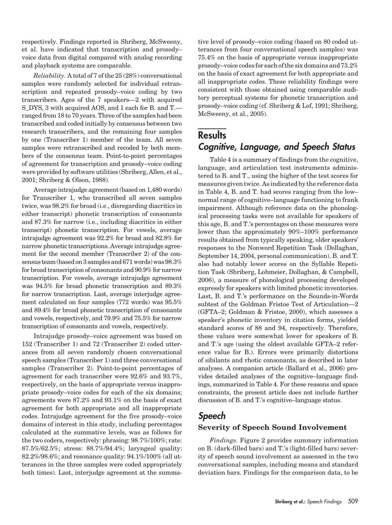respectively. Findings reported in Shriberg, McSweeny, et al. have indicated that transcription and prosody– voice data from digital compared with analog recording and playback systems are comparable.

Reliability. A total of 7 of the 25 (28%) conversational samples were randomly selected for individual retranscription and repeated prosody–voice coding by two transcribers. Ages of the 7 speakers—2 with acquired S\_DYS, 3 with acquired AOS, and 1 each for B. and T. ranged from 18 to 70 years. Three of the samples had been transcribed and coded initially by consensus between two research transcribers, and the remaining four samples by one (Transcriber 1) member of the team. All seven samples were retranscribed and recoded by both members of the consensus team. Point-to-point percentages of agreement for transcription and prosody–voice coding were provided by software utilities (Shriberg, Allen, et al., 2001; Shriberg & Olson, 1988).

Average intrajudge agreement (based on 1,480 words) for Transcriber 1, who transcribed all seven samples twice, was 98.2% for broad (i.e., disregarding diacritics in either transcript) phonetic transcription of consonants and 87.3% for narrow (i.e., including diacritics in either transcript) phonetic transcription. For vowels, average intrajudge agreement was 92.2% for broad and 82.8% for narrow phonetic transcriptions. Average intrajudge agreement for the second member (Transcriber 2) of the consensusteam(basedon3samplesand671words)was98.3% for broad transcription of consonants and 90.9% for narrow transcription. For vowels, average intrajudge agreement was 94.5% for broad phonetic transcription and 89.3% for narrow transcription. Last, average interjudge agreement calculated on four samples (772 words) was 95.5% and 89.4% for broad phonetic transcription of consonants and vowels, respectively, and 79.9% and 75.5% for narrow transcription of consonants and vowels, respectively.

Intrajudge prosody–voice agreement was based on 152 (Transcriber 1) and 72 (Transcriber 2) coded utterances from all seven randomly chosen conversational speech samples (Transcriber 1) and three conversational samples (Transcriber 2). Point-to-point percentages of agreement for each transcriber were 92.6% and 93.7%, respectively, on the basis of appropriate versus inappropriate prosody–voice codes for each of the six domains; agreements were 87.2% and 93.1% on the basis of exact agreement for both appropriate and all inappropriate codes. Intrajudge agreement for the five prosody–voice domains of interest in this study, including percentages calculated at the summative levels, was as follows for the two coders, respectively: phrasing: 98.7%/100%; rate: 87.5%/62.5%; stress: 88.7%/94.4%; laryngeal quality: 82.2%/98.6%; and resonance quality: 94.1%/100% (all utterances in the three samples were coded appropriately both times). Last, interjudge agreement at the summa-

tive level of prosody–voice coding (based on 80 coded utterances from four conversational speech samples) was 75.4% on the basis of appropriate versus inappropriate prosody–voice codes foreachofthe six domains and73.2% on the basis of exact agreement for both appropriate and all inappropriate codes. These reliability findings were consistent with those obtained using comparable auditory perceptual systems for phonetic transcription and prosody–voice coding (cf. Shriberg & Lof, 1991; Shriberg, McSweeny, et al., 2005).

# **Results** Cognitive, Language, and Speech Status

Table 4 is a summary of findings from the cognitive, language, and articulation test instruments administered to B. and T., using the higher of the test scores for measures given twice. As indicated by the reference data in Table 4, B. and T. had scores ranging from the low– normal range of cognitive–language functioning to frank impairment. Although reference data on the phonological processing tasks were not available for speakers of this age, B. and T.'s percentages on these measures were lower than the approximately 90%–100% performance results obtained from typically speaking, older speakers' responses to the Nonword Repetition Task (Dollaghan, September 14, 2004, personal communication). B. and T. also had notably lower scores on the Syllable Repetition Task (Shriberg, Lohmeier, Dollaghan, & Campbell, 2006), a measure of phonological processing developed expressly for speakers with limited phonetic inventories. Last, B. and T.'s performance on the Sounds-in-Words subtest of the Goldman Fristoe Test of Articulation—2 (GFTA–2; Goldman & Fristoe, 2000), which assesses a speaker's phonetic inventory in citation forms, yielded standard scores of 88 and 94, respectively. Therefore, these values were somewhat lower for speakers of B. and T.'s age (using the oldest available GFTA–2 reference value for B.). Errors were primarily distortions of sibilants and rhotic consonants, as described in later analyses. A companion article (Ballard et al., 2006) provides detailed analyses of the cognitive–language findings, summarized in Table 4. For these reasons and space constraints, the present article does not include further discussion of B. and T.'s cognitive–language status.

## Speech

## Severity of Speech Sound Involvement

Findings. Figure 2 provides summary information on B. (dark-filled bars) and T.'s (light-filled bars) severity of speech sound involvement as assessed in the two conversational samples, including means and standard deviation bars. Findings for the comparison data, to be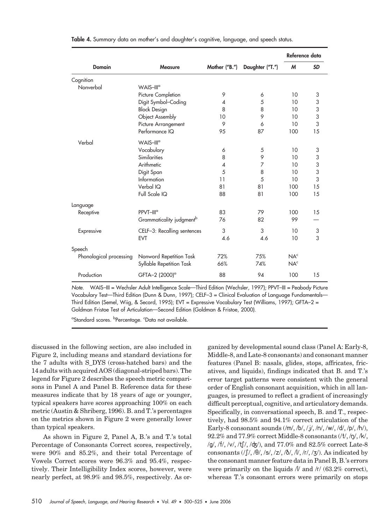|                         |                                      |               |                 | Reference data  |           |
|-------------------------|--------------------------------------|---------------|-----------------|-----------------|-----------|
| <b>Domain</b>           | <b>Measure</b>                       | Mother ("B.") | Daughter ("T.") | M               | <b>SD</b> |
| Cognition               |                                      |               |                 |                 |           |
| Nonverbal               | WAIS-III <sup>a</sup>                |               |                 |                 |           |
|                         | Picture Completion                   | 9             | 6               | 10              | 3         |
|                         | Digit Symbol-Coding                  | 4             | 5               | 10              | 3         |
|                         | <b>Block Design</b>                  | 8             | 8               | 10              | 3         |
|                         | <b>Object Assembly</b>               | 10            | 9               | 10              | 3         |
|                         | Picture Arrangement                  | 9             | 6               | 10              | 3         |
|                         | Performance IQ                       | 95            | 87              | 100             | 15        |
| Verbal                  | WAIS-III <sup>a</sup>                |               |                 |                 |           |
|                         | Vocabulary                           | 6             | 5               | 10              | 3         |
|                         | <b>Similarities</b>                  | 8             | 9               | 10              | 3         |
|                         | Arithmetic                           | 4             | 7               | 10              | 3         |
|                         | Digit Span                           | 5             | 8               | 10              | 3         |
|                         | Information                          | 11            | 5               | 10              | 3         |
|                         | Verbal IQ                            | 81            | 81              | 100             | 15        |
|                         | Full Scale IQ                        | 88            | 81              | 100             | 15        |
| Language                |                                      |               |                 |                 |           |
| Receptive               | PPVT-III <sup>a</sup>                | 83            | 79              | 100             | 15        |
|                         | Grammaticality judgment <sup>b</sup> | 76            | 82              | 99              |           |
| Expressive              | CELF-3: Recalling sentences          | 3             | 3               | 10              | 3         |
|                         | <b>EVT</b>                           | 4.6           | 4.6             | 10              | 3         |
| Speech                  |                                      |               |                 |                 |           |
| Phonological processing | Nonword Repetition Task              | 72%           | 75%             | NA <sup>c</sup> |           |
|                         | Syllable Repetition Task             | 66%           | 74%             | NA <sup>c</sup> |           |
| Production              | GFTA-2 (2000) <sup>a</sup>           | 88            | 94              | 100             | 15        |

Table 4. Summary data on mother's and daughter's cognitive, language, and speech status.

Note. WAIS–III = Wechsler Adult Intelligence Scale—Third Edition (Wechsler, 1997); PPVT–III = Peabody Picture Vocabulary Test—Third Edition (Dunn & Dunn, 1997); CELF–3 = Clinical Evaluation of Language Fundamentals— Third Edition (Semel, Wiig, & Secord, 1995); EVT = Expressive Vocabulary Test (Williams, 1997); GFTA–2 = Goldman Fristoe Test of Articulation—Second Edition (Goldman & Fristoe, 2000).

<sup>a</sup>Standard scores. <sup>b</sup>Percentage. <sup>c</sup>Data not available.

discussed in the following section, are also included in Figure 2, including means and standard deviations for the 7 adults with S\_DYS (cross-hatched bars) and the 14 adults with acquired AOS (diagonal-striped bars). The legend for Figure 2 describes the speech metric comparisons in Panel A and Panel B. Reference data for these measures indicate that by 18 years of age or younger, typical speakers have scores approaching 100% on each metric (Austin & Shriberg, 1996). B. and T.'s percentages on the metrics shown in Figure 2 were generally lower than typical speakers.

As shown in Figure 2, Panel A, B.'s and T.'s total Percentage of Consonants Correct scores, respectively, were 90% and 85.2%, and their total Percentage of Vowels Correct scores were 96.3% and 95.4%, respectively. Their Intelligibility Index scores, however, were nearly perfect, at 98.9% and 98.5%, respectively. As organized by developmental sound class (Panel A: Early-8, Middle-8, and Late-8 consonants) and consonant manner features (Panel B: nasals, glides, stops, affricates, fricatives, and liquids), findings indicated that B. and T.'s error target patterns were consistent with the general order of English consonant acquisition, which in all languages, is presumed to reflect a gradient of increasingly difficult perceptual, cognitive, and articulatory demands. Specifically, in conversational speech, B. and T., respectively, had 98.5% and 94.1% correct articulation of the Early-8 consonant sounds  $(\overline{m}, \overline{b}, \overline{y}, \overline{n}, \overline{w}, \overline{d}, \overline{b}, \overline{b}, \overline{b}, \overline{b})$ 92.2% and 77.9% correct Middle-8 consonants  $/(t/$ ,  $/\rho$ ,  $/k$ ,  $/g/$ ,  $/f/$ ,  $/vl$ ,  $/tf/$ ,  $/df/$ ,  $ad/77.0\%$  and  $82.5\%$  correct Late-8 consonants  $(\int \int \int \int \int \frac{1}{s}, \frac{1}{s}, \frac{1}{s}, \frac{1}{s}, \frac{1}{s}, \frac{1}{s}, \frac{1}{s})$ . As indicated by the consonant manner feature data in Panel B, B.'s errors were primarily on the liquids  $\pi$  and  $\pi$  (63.2% correct), whereas T.'s consonant errors were primarily on stops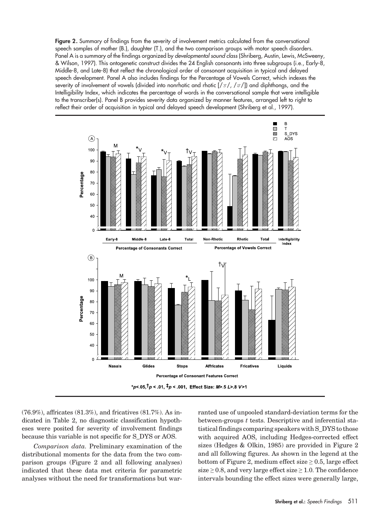Figure 2. Summary of findings from the severity of involvement metrics calculated from the conversational speech samples of mother (B.), daughter (T.), and the two comparison groups with motor speech disorders. Panel A is a summary of the findings organized by developmental sound class (Shriberg, Austin, Lewis, McSweeny, & Wilson, 1997). This ontogenetic construct divides the 24 English consonants into three subgroups (i.e., Early-8, Middle-8, and Late-8) that reflect the chronological order of consonant acquisition in typical and delayed speech development. Panel A also includes findings for the Percentage of Vowels Correct, which indexes the severity of involvement of vowels (divided into nonrhotic and rhotic  $[\frac{1}{3}, \frac{1}{3}]$  and diphthongs, and the Intelligibility Index, which indicates the percentage of words in the conversational sample that were intelligible to the transcriber(s). Panel B provides severity data organized by manner features, arranged left to right to reflect their order of acquisition in typical and delayed speech development (Shriberg et al., 1997).



(76.9%), affricates (81.3%), and fricatives (81.7%). As indicated in Table 2, no diagnostic classification hypotheses were posited for severity of involvement findings because this variable is not specific for S\_DYS or AOS.

Comparison data. Preliminary examination of the distributional moments for the data from the two comparison groups (Figure 2 and all following analyses) indicated that these data met criteria for parametric analyses without the need for transformations but warranted use of unpooled standard-deviation terms for the between-groups  $t$  tests. Descriptive and inferential statistical findings comparing speakers with S\_DYS to those with acquired AOS, including Hedges-corrected effect sizes (Hedges & Olkin, 1985) are provided in Figure 2 and all following figures. As shown in the legend at the bottom of Figure 2, medium effect size  $\geq 0.5$ , large effect  $size \geq 0.8$ , and very large effect size  $\geq 1.0$ . The confidence intervals bounding the effect sizes were generally large,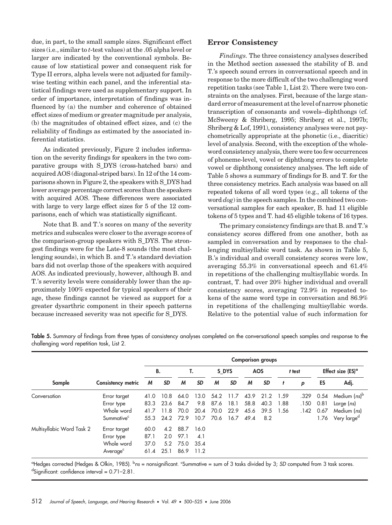due, in part, to the small sample sizes. Significant effect sizes (i.e., similar to t-test values) at the .05 alpha level or larger are indicated by the conventional symbols. Because of low statistical power and consequent risk for Type II errors, alpha levels were not adjusted for familywise testing within each panel, and the inferential statistical findings were used as supplementary support. In order of importance, interpretation of findings was influenced by (a) the number and coherence of obtained effect sizes of medium or greater magnitude per analysis, (b) the magnitudes of obtained effect sizes, and (c) the reliability of findings as estimated by the associated inferential statistics.

As indicated previously, Figure 2 includes information on the severity findings for speakers in the two comparative groups with S\_DYS (cross-hatched bars) and acquired AOS (diagonal-striped bars). In 12 of the 14 comparisons shown in Figure 2, the speakers with S\_DYS had lower average percentage correct scores than the speakers with acquired AOS. These differences were associated with large to very large effect sizes for 5 of the 12 comparisons, each of which was statistically significant.

Note that B. and T.'s scores on many of the severity metrics and subscales were closer to the average scores of the comparison-group speakers with S\_DYS. The strongest findings were for the Late-8 sounds (the most challenging sounds), in which B. and T.'s standard deviation bars did not overlap those of the speakers with acquired AOS. As indicated previously, however, although B. and T.'s severity levels were considerably lower than the approximately 100% expected for typical speakers of their age, these findings cannot be viewed as support for a greater dysarthric component in their speech patterns because increased severity was not specific for S\_DYS.

### Error Consistency

Findings. The three consistency analyses described in the Method section assessed the stability of B. and T.'s speech sound errors in conversational speech and in response to the more difficult of the two challenging word repetition tasks (see Table 1, List 2). There were two constraints on the analyses. First, because of the large standard error of measurement at the level of narrow phonetic transcription of consonants and vowels–diphthongs (cf. McSweeny & Shriberg, 1995; Shriberg et al., 1997b; Shriberg & Lof, 1991), consistency analyses were not psychometrically appropriate at the phonetic (i.e., diacritic) level of analysis. Second, with the exception of the wholeword consistency analysis, there were too few occurrences of phoneme-level, vowel or diphthong errors to complete vowel or diphthong consistency analyses. The left side of Table 5 shows a summary of findings for B. and T. for the three consistency metrics. Each analysis was based on all repeated tokens of all word types (e.g., all tokens of the word  $\log$ ) in the speech samples. In the combined two conversational samples for each speaker, B. had 11 eligible tokens of 5 types and T. had 45 eligible tokens of 16 types.

The primary consistency findings are that B. and T.'s consistency scores differed from one another, both as sampled in conversation and by responses to the challenging multisyllabic word task. As shown in Table 5, B.'s individual and overall consistency scores were low, averaging 55.3% in conversational speech and 61.4% in repetitions of the challenging multisyllabic words. In contrast, T. had over 20% higher individual and overall consistency scores, averaging 72.9% in repeated tokens of the same word type in conversation and 86.9% in repetitions of the challenging multisyllabic words. Relative to the potential value of such information for

|                           |                        |      |           |      |           |       |           |      | <b>Comparison groups</b> |      |                  |      |                             |
|---------------------------|------------------------|------|-----------|------|-----------|-------|-----------|------|--------------------------|------|------------------|------|-----------------------------|
|                           |                        |      | B.        |      | T.        | S DYS |           |      | <b>AOS</b>               |      | t test           |      | Effect size $(ES)^{\alpha}$ |
| Sample                    | Consistency metric     | M    | <b>SD</b> | M    | <b>SD</b> | M     | <b>SD</b> | M    | <b>SD</b>                | t    | $\boldsymbol{p}$ | ES   | Adj.                        |
| Conversation              | Error target           | 41.0 | 10.8      | 64.0 | 13.0      | 54.2  | 11.7      | 43.9 | 21.2                     | 1.59 | .329             | 0.54 | Medium (ns) <sup>b</sup>    |
|                           | Error type             | 83.3 | 23.6      | 84.7 | 9.8       | 87.6  | 18.1      | 58.8 | 40.3                     | 1.88 | .150             | 0.81 | Large (ns)                  |
|                           | Whole word             | 41.7 | 11.8      | 70.0 | 20.4      | 70.0  | 22.9      | 45.6 | 39.5                     | 1.56 | .142             | 0.67 | Medium (ns)                 |
|                           | Summative <sup>c</sup> | 55.3 | 24.2      | 72.9 | 10.7      | 70.6  | 16.7      | 49.4 | 8.2                      |      |                  | 1.76 | Very large <sup>d</sup>     |
| Multisyllabic Word Task 2 | Error target           | 60.0 | 4.2       | 88.7 | 16.0      |       |           |      |                          |      |                  |      |                             |
|                           | Error type             | 87.1 | 2.0       | 97.1 | 4.1       |       |           |      |                          |      |                  |      |                             |
|                           | Whole word             | 37.0 | 5.2       | 75.0 | 35.4      |       |           |      |                          |      |                  |      |                             |
|                           | Average <sup>c</sup>   | 61.4 | 25.1      | 86.9 | 11.2      |       |           |      |                          |      |                  |      |                             |

Table 5. Summary of findings from three types of consistency analyses completed on the conversational speech samples and response to the challenging word repetition task, List 2.

<sup>a</sup>Hedges corrected (Hedges & Olkin, 1985). <sup>b</sup>ns = nonsignificant. <sup>c</sup>Summative = sum of 3 tasks divided by 3; *SD* computed from 3 task scores. d Significant: confidence interval = 0.71–2.81.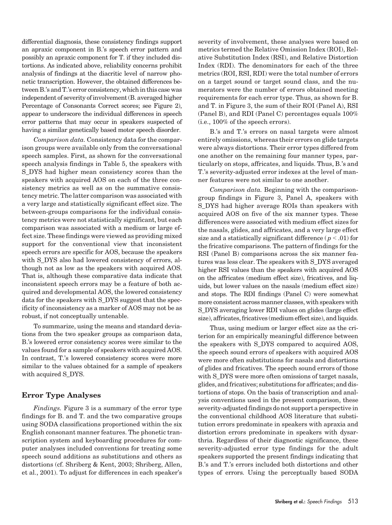differential diagnosis, these consistency findings support an apraxic component in B.'s speech error pattern and possibly an apraxic component for T. if they included distortions. As indicated above, reliability concerns prohibit analysis of findings at the diacritic level of narrow phonetic transcription. However, the obtained differences between B.'s and T.'s error consistency, which in this case was independent of severity of involvement (B. averaged higher Percentage of Consonants Correct scores; see Figure 2), appear to underscore the individual differences in speech error patterns that may occur in speakers suspected of having a similar genetically based motor speech disorder.

Comparison data. Consistency data for the comparison groups were available only from the conversational speech samples. First, as shown for the conversational speech analysis findings in Table 5, the speakers with S\_DYS had higher mean consistency scores than the speakers with acquired AOS on each of the three consistency metrics as well as on the summative consistency metric. The latter comparison was associated with a very large and statistically significant effect size. The between-groups comparisons for the individual consistency metrics were not statistically significant, but each comparison was associated with a medium or large effect size. These findings were viewed as providing mixed support for the conventional view that inconsistent speech errors are specific for AOS, because the speakers with S DYS also had lowered consistency of errors, although not as low as the speakers with acquired AOS. That is, although these comparative data indicate that inconsistent speech errors may be a feature of both acquired and developmental AOS, the lowered consistency data for the speakers with S\_DYS suggest that the specificity of inconsistency as a marker of AOS may not be as robust, if not conceptually untenable.

To summarize, using the means and standard deviations from the two speaker groups as comparison data, B.'s lowered error consistency scores were similar to the values found for a sample of speakers with acquired AOS. In contrast, T.'s lowered consistency scores were more similar to the values obtained for a sample of speakers with acquired S\_DYS.

### Error Type Analyses

Findings. Figure 3 is a summary of the error type findings for B. and T. and the two comparative groups using SODA classifications proportioned within the six English consonant manner features. The phonetic transcription system and keyboarding procedures for computer analyses included conventions for treating some speech sound additions as substitutions and others as distortions (cf. Shriberg & Kent, 2003; Shriberg, Allen, et al., 2001). To adjust for differences in each speaker's

severity of involvement, these analyses were based on metrics termed the Relative Omission Index (ROI), Relative Substitution Index (RSI), and Relative Distortion Index (RDI). The denominators for each of the three metrics (ROI, RSI, RDI) were the total number of errors on a target sound or target sound class, and the numerators were the number of errors obtained meeting requirements for each error type. Thus, as shown for B. and T. in Figure 3, the sum of their ROI (Panel A), RSI (Panel B), and RDI (Panel C) percentages equals 100% (i.e., 100% of the speech errors).

B.'s and T.'s errors on nasal targets were almost entirely omissions, whereas their errors on glide targets were always distortions. Their error types differed from one another on the remaining four manner types, particularly on stops, affricates, and liquids. Thus, B.'s and T.'s severity-adjusted error indexes at the level of manner features were not similar to one another.

Comparison data. Beginning with the comparisongroup findings in Figure 3, Panel A, speakers with S\_DYS had higher average ROIs than speakers with acquired AOS on five of the six manner types. These differences were associated with medium effect sizes for the nasals, glides, and affricates, and a very large effect size and a statistically significant difference  $(p < .01)$  for the fricative comparisons. The pattern of findings for the RSI (Panel B) comparisons across the six manner features was less clear. The speakers with S\_DYS averaged higher RSI values than the speakers with acquired AOS on the affricates (medium effect size), fricatives, and liquids, but lower values on the nasals (medium effect size) and stops. The RDI findings (Panel C) were somewhat more consistent across manner classes, with speakers with S\_DYS averaging lower RDI values on glides (large effect size), affricates, fricatives (medium effect size), and liquids.

Thus, using medium or larger effect size as the criterion for an empirically meaningful difference between the speakers with S\_DYS compared to acquired AOS, the speech sound errors of speakers with acquired AOS were more often substitutions for nasals and distortions of glides and fricatives. The speech sound errors of those with S\_DYS were more often omissions of target nasals, glides, and fricatives; substitutions for affricates; and distortions of stops. On the basis of transcription and analysis conventions used in the present comparison, these severity-adjusted findings do not support a perspective in the conventional childhood AOS literature that substitution errors predominate in speakers with apraxia and distortion errors predominate in speakers with dysarthria. Regardless of their diagnostic significance, these severity-adjusted error type findings for the adult speakers supported the present findings indicating that B.'s and T.'s errors included both distortions and other types of errors. Using the perceptually based SODA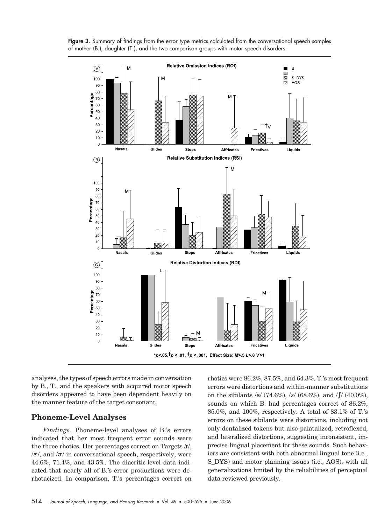

Figure 3. Summary of findings from the error type metrics calculated from the conversational speech samples of mother (B.), daughter (T.), and the two comparison groups with motor speech disorders.

analyses, the types of speech errors made in conversation by B., T., and the speakers with acquired motor speech disorders appeared to have been dependent heavily on the manner feature of the target consonant.

#### Phoneme-Level Analyses

Findings. Phoneme-level analyses of B.'s errors indicated that her most frequent error sounds were the three rhotics. Her percentages correct on Targets /r/,  $\sqrt{s}$ , and  $\sqrt{s}$  in conversational speech, respectively, were 44.6%, 71.4%, and 43.5%. The diacritic-level data indicated that nearly all of B.'s error productions were derhotacized. In comparison, T.'s percentages correct on rhotics were 86.2%, 87.5%, and 64.3%. T.'s most frequent errors were distortions and within-manner substitutions on the sibilants /s/ (74.6%), /z/ (68.6%), and / $\int$ / (40.0%), sounds on which B. had percentages correct of 86.2%, 85.0%, and 100%, respectively. A total of 83.1% of T.'s errors on these sibilants were distortions, including not only dentalized tokens but also palatalized, retroflexed, and lateralized distortions, suggesting inconsistent, imprecise lingual placement for these sounds. Such behaviors are consistent with both abnormal lingual tone (i.e., S\_DYS) and motor planning issues (i.e., AOS), with all generalizations limited by the reliabilities of perceptual data reviewed previously.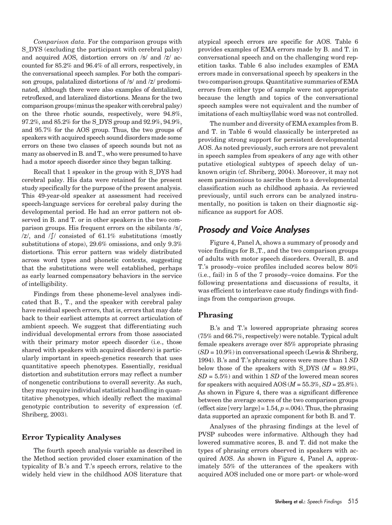Comparison data. For the comparison groups with S\_DYS (excluding the participant with cerebral palsy) and acquired AOS, distortion errors on /s/ and /z/ accounted for 85.2% and 96.4% of all errors, respectively, in the conversational speech samples. For both the comparison groups, palatalized distortions of /s/ and /z/ predominated, although there were also examples of dentalized, retroflexed, and lateralized distortions. Means for the two comparison groups (minus the speaker with cerebral palsy) on the three rhotic sounds, respectively, were 94.8%, 97.2%, and 85.2% for the S\_DYS group and 92.9%, 94.9%, and 95.7% for the AOS group. Thus, the two groups of speakers with acquired speech sound disorders made some errors on these two classes of speech sounds but not as many as observed in B. and T., who were presumed to have had a motor speech disorder since they began talking.

Recall that 1 speaker in the group with S\_DYS had cerebral palsy. His data were retained for the present study specifically for the purpose of the present analysis. This 49-year-old speaker at assessment had received speech-language services for cerebral palsy during the developmental period. He had an error pattern not observed in B. and T. or in other speakers in the two comparison groups. His frequent errors on the sibilants /s/,  $|z|$ , and  $| \int |z|$  consisted of 61.1% substitutions (mostly substitutions of stops), 29.6% omissions, and only 9.3% distortions. This error pattern was widely distributed across word types and phonetic contexts, suggesting that the substitutions were well established, perhaps as early learned compensatory behaviors in the service of intelligibility.

Findings from these phoneme-level analyses indicated that B., T., and the speaker with cerebral palsy have residual speech errors, that is, errors that may date back to their earliest attempts at correct articulation of ambient speech. We suggest that differentiating such individual developmental errors from those associated with their primary motor speech disorder (i.e., those shared with speakers with acquired disorders) is particularly important in speech-genetics research that uses quantitative speech phenotypes. Essentially, residual distortion and substitution errors may reflect a number of nongenetic contributions to overall severity. As such, they may require individual statistical handling in quantitative phenotypes, which ideally reflect the maximal genotypic contribution to severity of expression (cf. Shriberg, 2003).

#### Error Typicality Analyses

The fourth speech analysis variable as described in the Method section provided closer examination of the typicality of B.'s and T.'s speech errors, relative to the widely held view in the childhood AOS literature that

atypical speech errors are specific for AOS. Table 6 provides examples of EMA errors made by B. and T. in conversational speech and on the challenging word repetition tasks. Table 6 also includes examples of EMA errors made in conversational speech by speakers in the two comparison groups. Quantitative summaries of EMA errors from either type of sample were not appropriate because the length and topics of the conversational speech samples were not equivalent and the number of imitations of each multisyllabic word was not controlled.

The number and diversity of EMA examples from B. and T. in Table 6 would classically be interpreted as providing strong support for persistent developmental AOS. As noted previously, such errors are not prevalent in speech samples from speakers of any age with other putative etiological subtypes of speech delay of unknown origin (cf. Shriberg, 2004). Moreover, it may not seem parsimonious to ascribe them to a developmental classification such as childhood aphasia. As reviewed previously, until such errors can be analyzed instrumentally, no position is taken on their diagnostic significance as support for AOS.

## Prosody and Voice Analyses

Figure 4, Panel A, shows a summary of prosody and voice findings for B.,T., and the two comparison groups of adults with motor speech disorders. Overall, B. and T.'s prosody–voice profiles included scores below 80% (i.e., fail) in 5 of the 7 prosody–voice domains. For the following presentations and discussions of results, it was efficient to interleave case study findings with findings from the comparison groups.

#### Phrasing

B.'s and T.'s lowered appropriate phrasing scores (75% and 66.7%, respectively) were notable. Typical adult female speakers average over 85% appropriate phrasing  $(SD = 10.9\%)$  in conversational speech (Lewis & Shriberg, 1994). B.'s and T.'s phrasing scores were more than 1 SD below those of the speakers with S\_DYS ( $M = 89.9\%$ ,  $SD = 5.5\%$ ) and within 1 SD of the lowered mean scores for speakers with acquired AOS ( $M = 55.3\%, SD = 25.8\%$ ). As shown in Figure 4, there was a significant difference between the average scores of the two comparison groups (effect size [very large] = 1.54,  $p = .004$ ). Thus, the phrasing data supported an apraxic component for both B. and T.

Analyses of the phrasing findings at the level of PVSP subcodes were informative. Although they had lowered summative scores, B. and T. did not make the types of phrasing errors observed in speakers with acquired AOS. As shown in Figure 4, Panel A, approximately 55% of the utterances of the speakers with acquired AOS included one or more part- or whole-word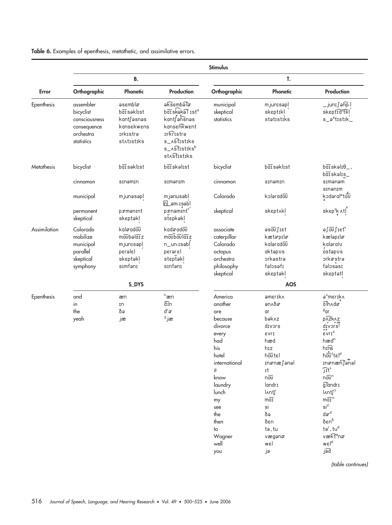|              |                                                                                   |                                                                             |                                                                                                                                                                  | <b>Stimulus</b>                                                                                              |                                                                                                                                                                |                                                                                                                                                                                                                                                               |
|--------------|-----------------------------------------------------------------------------------|-----------------------------------------------------------------------------|------------------------------------------------------------------------------------------------------------------------------------------------------------------|--------------------------------------------------------------------------------------------------------------|----------------------------------------------------------------------------------------------------------------------------------------------------------------|---------------------------------------------------------------------------------------------------------------------------------------------------------------------------------------------------------------------------------------------------------------|
|              |                                                                                   | B.                                                                          |                                                                                                                                                                  |                                                                                                              | T.                                                                                                                                                             |                                                                                                                                                                                                                                                               |
| Error        | Orthographic                                                                      | Phonetic                                                                    | Production                                                                                                                                                       | Orthographic                                                                                                 | Phonetic                                                                                                                                                       | Production                                                                                                                                                                                                                                                    |
| Epenthesis   | assembler<br>bicyclist<br>consciousness<br>consequence<br>orchestra<br>statistics | asembla<br>baisəklist<br>kant∫əsnəs<br>kansekwens<br>orkistra<br>statistiks | <b>a</b> Redma a R<br>botskakal Ist <sup>a</sup><br>kant∫ensnes<br>kansenkwent<br>orkristra<br>s_^stistiks<br>$s_A$ Stistiksb<br>stastistiks                     | municipal<br>skeptical<br>statistics                                                                         | mjunisapl<br>skeptikl<br>statistiks                                                                                                                            | $_j$ unɪʃən͡pl<br>skeptîd <sup>r</sup> fkl<br>s_a <sup>s</sup> tistik_                                                                                                                                                                                        |
| Metathesis   | bicyclist                                                                         | baisəklist                                                                  | baiskalist                                                                                                                                                       | bicyclist                                                                                                    | baisəklist                                                                                                                                                     | $b\overline{a}$ iskalı $\theta$ _,<br>$b\overline{ai}$ skəl $is$                                                                                                                                                                                              |
|              | cinnamon                                                                          | sinamin                                                                     | simanim                                                                                                                                                          | cinnamon                                                                                                     | sinamin                                                                                                                                                        | sımənəm<br>sinanim                                                                                                                                                                                                                                            |
|              | municipal                                                                         | mjunəsəpl                                                                   | mjanusabl<br>Dem.Isabl                                                                                                                                           | Colorado                                                                                                     | kolaradou                                                                                                                                                      | kodaral <sup>a</sup> tou                                                                                                                                                                                                                                      |
|              | permanent<br>skeptical                                                            | pamenint<br>skeptakl                                                        | panamint'<br>stepkakl                                                                                                                                            | skeptical                                                                                                    | skeptakl                                                                                                                                                       | skep <sup>t</sup> k ntl                                                                                                                                                                                                                                       |
| Assimilation | Colorado<br>mobilize<br>municipal<br>parallel<br>skeptical<br>symphony            | kalardou<br>moubalgiz<br>mjunisapl<br>peralel<br>skeptəkl<br>simfani        | kadaradou<br>$m \overrightarrow{\text{ow}} \overrightarrow{\text{ow}} \overrightarrow{\text{lar}} z$<br>n_un <sub>:ISabl</sub><br>perarel<br>steptakl<br>sinfani | associate<br>caterpillar<br>Colorado<br>octopus<br>orchestra<br>philosophy<br>skeptical                      | dsov∫iet<br>kætapila<br>kalaradou<br>aktapus<br>orkəstrə<br>Ialosafi<br>skeptəkl                                                                               | °∫@∫iεt<br>kæləpilə<br>kaləralu<br>astapus<br>orkastrə<br>Iaesclet<br>skeptatl                                                                                                                                                                                |
|              |                                                                                   | <b>S_DYS</b>                                                                |                                                                                                                                                                  |                                                                                                              | <b>AOS</b>                                                                                                                                                     |                                                                                                                                                                                                                                                               |
| Epenthesis   | and<br>in<br>the<br>yeah                                                          | æn<br>In<br>ðə<br><b>J</b> æ                                                | $n_{\text{gen}}$<br>din<br>$d^r$ ər<br>$3$ jæ                                                                                                                    | America<br>another<br>are<br>because<br>divorce                                                              | əmɛrɪk∧<br>ən∧ðə<br>ar<br>bəkvz<br>divors                                                                                                                      | <b>a</b> <sup>v</sup> merika<br>alnıda<br>$\mathfrak{g}_{\text{ar}}$<br><b>p</b> <sub>2</sub> k^z<br>$\frac{1}{2}$ $\frac{1}{2}$ $\frac{1}{2}$ $\frac{1}{2}$ $\frac{1}{2}$ $\frac{1}{2}$ $\frac{1}{2}$                                                        |
|              |                                                                                   |                                                                             |                                                                                                                                                                  | every<br>had<br>his<br>hotel<br>international<br>it.<br>know<br>laundry<br>lunch<br>my<br>see<br>the<br>then | <b>EVFI</b><br>hæd<br>hɪz<br>houtel<br>Inanæ∫ənəl<br>Ιt<br>$n\overline{ov}$<br>landr <sub>I</sub><br>l^nt∫<br>$m\overline{ai}$<br>$\mathrm{s}\mathrm{i}$<br>Gð | $hæd^n$<br>hɪn͡s<br>hou <sup>t</sup> tel <sup>d</sup><br>$\text{normal}$<br>fit <sup>'</sup><br>$n\overline{ov}^n$<br><b>gTandri</b><br>$l$ Ant $\int_0^t$<br>$m\overline{a}\overline{r}^n$<br>$\mathsf{si}^\mathsf{z}$<br>$d\vartheta^d$<br>δεη <sup>δ</sup> |

to ta,tu<br>Wagner vægal

Wagner vægənət<br>well wel

you jə jəd

Table 6. Examples of epenthesis, metathetic, and assimilative errors.

(table continues)

tə<sup>r</sup>, tu<sup>d</sup>

vækt<sup>9</sup>na พย<sup>|d</sup><br>jอิดี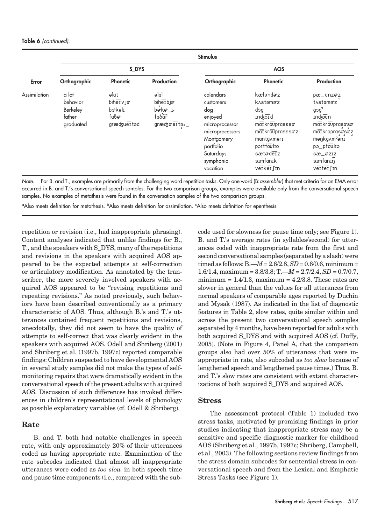|              |                                                      |                                                     |                                                                | <b>Stimulus</b>                                                                                                                                |                                                                                                                                                                                         |                                                                                                                                                                                                                                                                  |
|--------------|------------------------------------------------------|-----------------------------------------------------|----------------------------------------------------------------|------------------------------------------------------------------------------------------------------------------------------------------------|-----------------------------------------------------------------------------------------------------------------------------------------------------------------------------------------|------------------------------------------------------------------------------------------------------------------------------------------------------------------------------------------------------------------------------------------------------------------|
|              |                                                      | S_DYS                                               |                                                                |                                                                                                                                                | <b>AOS</b>                                                                                                                                                                              |                                                                                                                                                                                                                                                                  |
| Error        | Orthographic                                         | Phonetic                                            | Production                                                     | Orthographic                                                                                                                                   | Phonetic                                                                                                                                                                                | Production                                                                                                                                                                                                                                                       |
| Assimilation | a lot<br>behavior<br>Berkeley<br>father<br>graduated | əlat<br>bihet v.ja<br>bakalı<br>faðə<br>grægtuertad | lole<br>bihetbje<br>bəkə_⊳<br>aðar <sup></sup><br>grædgaeIta>_ | calendars<br>customers<br>dog<br>enjoyed<br>microprocessor<br>microprocessors<br>Montgomery<br>portfolio<br>Saturdays<br>symphonic<br>vacation | kælundaz<br>kastəmərz<br>pcb<br><b>Ind<sub>31</sub></b><br>maikrouprasese<br>$m\overline{a}$ krouprasesa $z$<br>mantgameri<br>portfoulto<br>sætadelz<br>simfanik<br>$v$ eīkeī $\int$ in | pæ_unzaz<br>tostamaz<br>gog <sup>-</sup><br><b>Indzovn</b><br>$m\overline{a}$ krouprasasa<br>$m\overline{a}$ kroprasasa z<br>mankg Am <sup>P</sup> ani<br>pə_pfoulIə<br>sæ_ə <sup>217</sup><br>simfanin<br>$v\overline{e}$ <sub>I</sub> fei $\int$ <sub>In</sub> |

Note. For B. and T., examples are primarily from the challenging word repetition tasks. Only one word (B:assembler) that met criteria for an EMA error occurred in B. and T.'s conversational speech samples. For the two comparison groups, examples were available only from the conversational speech samples. No examples of metathesis were found in the conversation samples of the two comparison groups.

<sup>a</sup>Also meets definition for metathesis. <sup>b</sup>Also meets definition for assimilation. <sup>c</sup>Also meets definition for epenthesis.

repetition or revision (i.e., had inappropriate phrasing). Content analyses indicated that unlike findings for B., T., and the speakers with S\_DYS, many of the repetitions and revisions in the speakers with acquired AOS appeared to be the expected attempts at self-correction or articulatory modification. As annotated by the transcriber, the more severely involved speakers with acquired AOS appeared to be ''revising repetitions and repeating revisions.'' As noted previously, such behaviors have been described conventionally as a primary characteristic of AOS. Thus, although B.'s and T.'s utterances contained frequent repetitions and revisions, anecdotally, they did not seem to have the quality of attempts to self-correct that was clearly evident in the speakers with acquired AOS. Odell and Shriberg (2001) and Shriberg et al. (1997b, 1997c) reported comparable findings: Children suspected to have developmental AOS in several study samples did not make the types of selfmonitoring repairs that were dramatically evident in the conversational speech of the present adults with acquired AOS. Discussion of such differences has invoked differences in children's representational levels of phonology as possible explanatory variables (cf. Odell & Shriberg).

#### Rate

B. and T. both had notable challenges in speech rate, with only approximately 20% of their utterances coded as having appropriate rate. Examination of the rate subcodes indicated that almost all inappropriate utterances were coded as too slow in both speech time and pause time components (i.e., compared with the subcode used for slowness for pause time only; see Figure 1). B. and T.'s average rates (in syllables/second) for utterances coded with inappropriate rate from the first and second conversational samples (separated by a slash) were timed as follows:  $B - M = 2.6/2.8$ ,  $SD = 0.6/0.6$ , minimum = 1.6/1.4, maximum =  $3.8/3.8$ ; T.— $M = 2.7/2.4$ , SD =  $0.7/0.7$ , minimum =  $1.4/1.3$ , maximum =  $4.2/3.8$ . These rates are slower in general than the values for all utterances from normal speakers of comparable ages reported by Duchin and Mysak (1987). As indicated in the list of diagnostic features in Table 2, slow rates, quite similar within and across the present two conversational speech samples separated by 4 months, have been reported for adults with both acquired S\_DYS and with acquired AOS (cf. Duffy, 2005). (Note in Figure 4, Panel A, that the comparison groups also had over 50% of utterances that were inappropriate in rate, also subcoded as too slow because of lengthened speech and lengthened pause times.) Thus, B. and T.'s slow rates are consistent with extant characterizations of both acquired S\_DYS and acquired AOS.

#### Stress

The assessment protocol (Table 1) included two stress tasks, motivated by promising findings in prior studies indicating that inappropriate stress may be a sensitive and specific diagnostic marker for childhood AOS (Shriberg et al., 1997b, 1997c; Shriberg, Campbell, et al., 2003). The following sections review findings from the stress domain subcodes for sentential stress in conversational speech and from the Lexical and Emphatic Stress Tasks (see Figure 1).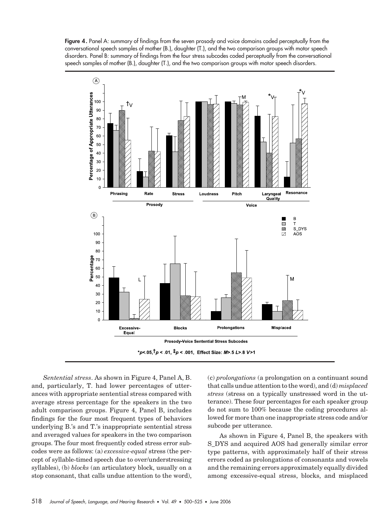Figure 4. Panel A: summary of findings from the seven prosody and voice domains coded perceptually from the conversational speech samples of mother (B.), daughter (T.), and the two comparison groups with motor speech disorders. Panel B: summary of findings from the four stress subcodes coded perceptually from the conversational speech samples of mother (B.), daughter (T.), and the two comparison groups with motor speech disorders.



Sentential stress. As shown in Figure 4, Panel A, B. and, particularly, T. had lower percentages of utterances with appropriate sentential stress compared with average stress percentage for the speakers in the two adult comparison groups. Figure 4, Panel B, includes findings for the four most frequent types of behaviors underlying B.'s and T.'s inappropriate sentential stress and averaged values for speakers in the two comparison groups. The four most frequently coded stress error subcodes were as follows: (a) excessive-equal stress (the percept of syllable-timed speech due to over/understressing syllables), (b) *blocks* (an articulatory block, usually on a stop consonant, that calls undue attention to the word), (c) prolongations (a prolongation on a continuant sound that calls undue attention to the word), and (d) misplaced stress (stress on a typically unstressed word in the utterance). These four percentages for each speaker group do not sum to 100% because the coding procedures allowed for more than one inappropriate stress code and/or subcode per utterance.

As shown in Figure 4, Panel B, the speakers with S\_DYS and acquired AOS had generally similar error type patterns, with approximately half of their stress errors coded as prolongations of consonants and vowels and the remaining errors approximately equally divided among excessive-equal stress, blocks, and misplaced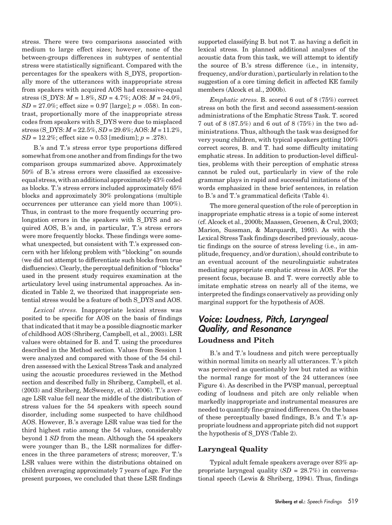stress. There were two comparisons associated with medium to large effect sizes; however, none of the between-groups differences in subtypes of sentential stress were statistically significant. Compared with the percentages for the speakers with S\_DYS, proportionally more of the utterances with inappropriate stress from speakers with acquired AOS had excessive-equal stress (S\_DYS:  $M = 1.8\%, SD = 4.7\%; AOS: M = 24.0\%,$  $SD = 27.0\%$ ; effect size = 0.97 [large];  $p = .058$ ). In contrast, proportionally more of the inappropriate stress codes from speakers with S\_DYS were due to misplaced stress (S\_DYS:  $M = 22.5\%, SD = 29.6\%; AOS: M = 11.2\%$ ,  $SD = 12.2\%$ ; effect size = 0.53 [medium];  $p = .278$ ).

B.'s and T.'s stress error type proportions differed somewhat from one another and from findings for the two comparison groups summarized above. Approximately 50% of B.'s stress errors were classified as excessiveequalstress, withanadditional approximately 43%coded as blocks. T.'s stress errors included approximately 65% blocks and approximately 30% prolongations (multiple occurrences per utterance can yield more than 100%). Thus, in contrast to the more frequently occurring prolongation errors in the speakers with S\_DYS and acquired AOS, B.'s and, in particular, T.'s stress errors were more frequently blocks. These findings were somewhat unexpected, but consistent with T.'s expressed concern with her lifelong problem with ''blocking'' on sounds (we did not attempt to differentiate such blocks from true disfluencies). Clearly, the perceptual definition of ''blocks'' used in the present study requires examination at the articulatory level using instrumental approaches. As indicated in Table 2, we theorized that inappropriate sentential stress would be a feature of both S\_DYS and AOS.

Lexical stress. Inappropriate lexical stress was posited to be specific for AOS on the basis of findings that indicated that it may be a possible diagnostic marker of childhood AOS (Shriberg, Campbell, et al., 2003). LSR values were obtained for B. and T. using the procedures described in the Method section. Values from Session 1 were analyzed and compared with those of the 54 children assessed with the Lexical Stress Task and analyzed using the acoustic procedures reviewed in the Method section and described fully in Shriberg, Campbell, et al. (2003) and Shriberg, McSweeny, et al. (2006). T.'s average LSR value fell near the middle of the distribution of stress values for the 54 speakers with speech sound disorder, including some suspected to have childhood AOS. However, B.'s average LSR value was tied for the third highest ratio among the 54 values, considerably beyond 1 SD from the mean. Although the 54 speakers were younger than B., the LSR normalizes for differences in the three parameters of stress; moreover, T.'s LSR values were within the distributions obtained on children averaging approximately 7 years of age. For the present purposes, we concluded that these LSR findings

supported classifying B. but not T. as having a deficit in lexical stress. In planned additional analyses of the acoustic data from this task, we will attempt to identify the source of B.'s stress difference (i.e., in intensity, frequency, and/or duration), particularly in relation to the suggestion of a core timing deficit in affected KE family members (Alcock et al., 2000b).

Emphatic stress. B. scored 6 out of 8 (75%) correct stress on both the first and second assessment-session administrations of the Emphatic Stress Task. T. scored 7 out of 8 (87.5%) and 6 out of 8 (75%) in the two administrations. Thus, although the task was designed for very young children, with typical speakers getting 100% correct scores, B. and T. had some difficulty imitating emphatic stress. In addition to production-level difficulties, problems with their perception of emphatic stress cannot be ruled out, particularly in view of the role grammar plays in rapid and successful imitations of the words emphasized in these brief sentences, in relation to B.'s and T.'s grammatical deficits (Table 4).

The more general question of the role of perception in inappropriate emphatic stress is a topic of some interest (cf. Alcock et al., 2000b; Maassen, Groenen, & Crul, 2003; Marion, Sussman, & Marquardt, 1993). As with the Lexical Stress Task findings described previously, acoustic findings on the source of stress leveling (i.e., in amplitude, frequency, and/or duration), should contribute to an eventual account of the neurolinguistic substrates mediating appropriate emphatic stress in AOS. For the present focus, because B. and T. were correctly able to imitate emphatic stress on nearly all of the items, we interpreted the findings conservatively as providing only marginal support for the hypothesis of AOS.

## Voice: Loudness, Pitch, Laryngeal Quality, and Resonance Loudness and Pitch

B.'s and T.'s loudness and pitch were perceptually within normal limits on nearly all utterances. T.'s pitch was perceived as questionably low but rated as within the normal range for most of the 24 utterances (see Figure 4). As described in the PVSP manual, perceptual coding of loudness and pitch are only reliable when markedly inappropriate and instrumental measures are needed to quantify fine-grained differences. On the bases of these perceptually based findings, B.'s and T.'s appropriate loudness and appropriate pitch did not support the hypothesis of S\_DYS (Table 2).

### Laryngeal Quality

Typical adult female speakers average over 83% appropriate laryngeal quality  $(SD = 28.7%)$  in conversational speech (Lewis & Shriberg, 1994). Thus, findings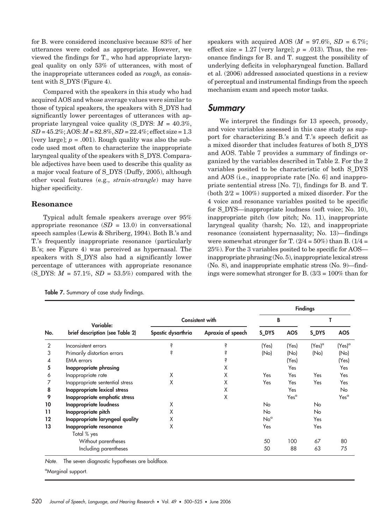for B. were considered inconclusive because 83% of her utterances were coded as appropriate. However, we viewed the findings for T., who had appropriate laryngeal quality on only 53% of utterances, with most of the inappropriate utterances coded as rough, as consistent with S\_DYS (Figure 4).

Compared with the speakers in this study who had acquired AOS and whose average values were similar to those of typical speakers, the speakers with S\_DYS had significantly lower percentages of utterances with appropriate laryngeal voice quality (S\_DYS:  $M = 40.3\%$ ,  $SD = 45.2\%; AOS: M = 82.8\%, SD = 22.4\%;$  effect size = 1.3 [very large];  $p = .001$ ). Rough quality was also the subcode used most often to characterize the inappropriate laryngeal quality of the speakers with S\_DYS. Comparable adjectives have been used to describe this quality as a major vocal feature of S\_DYS (Duffy, 2005), although other vocal features (e.g., strain-strangle) may have higher specificity.

#### Resonance

Typical adult female speakers average over 95% appropriate resonance  $(SD = 13.0)$  in conversational speech samples (Lewis & Shriberg, 1994). Both B.'s and T.'s frequently inappropriate resonance (particularly B.'s; see Figure 4) was perceived as hypernasal. The speakers with S\_DYS also had a significantly lower percentage of utterances with appropriate resonance (S\_DYS:  $M = 57.1\%$ ,  $SD = 53.5\%$ ) compared with the

Table 7. Summary of case study findings.

speakers with acquired AOS ( $M = 97.6\%$ , SD = 6.7%; effect size =  $1.27$  [very large];  $p = .013$ ). Thus, the resonance findings for B. and T. suggest the possibility of underlying deficits in velopharyngeal function. Ballard et al. (2006) addressed associated questions in a review of perceptual and instrumental findings from the speech mechanism exam and speech motor tasks.

### **Summary**

We interpret the findings for 13 speech, prosody, and voice variables assessed in this case study as support for characterizing B.'s and T.'s speech deficit as a mixed disorder that includes features of both S\_DYS and AOS. Table 7 provides a summary of findings organized by the variables described in Table 2. For the 2 variables posited to be characteristic of both S\_DYS and AOS (i.e., inappropriate rate [No. 6] and inappropriate sentential stress [No. 7]), findings for B. and T.  $(both 2/2 = 100\%)$  supported a mixed disorder. For the 4 voice and resonance variables posited to be specific for S DYS—inappropriate loudness (soft voice; No. 10), inappropriate pitch (low pitch; No. 11), inappropriate laryngeal quality (harsh; No. 12), and inappropriate resonance (consistent hypernasality; No. 13)—findings were somewhat stronger for T.  $(2/4 = 50\%)$  than B.  $(1/4 =$ 25%). For the 3 variables posited to be specific for AOS inappropriate phrasing (No. 5), inappropriate lexical stress (No. 8), and inappropriate emphatic stress (No. 9)—findings were somewhat stronger for B. (3/3 = 100% than for

|         |                                 |                    |                   |                 |                  | <b>Findings</b> |                  |
|---------|---------------------------------|--------------------|-------------------|-----------------|------------------|-----------------|------------------|
|         | Variable:                       |                    | Consistent with   | B               |                  |                 |                  |
| No.     | brief description (see Table 2) | Spastic dysarthria | Apraxia of speech | S_DYS           | <b>AOS</b>       | S_DYS           | <b>AOS</b>       |
| 2       | Inconsistent errors             | ŝ                  | ŝ                 | (Yes)           | (Yes)            | $(Yes)^\alpha$  | $(Yes)^\alpha$   |
| 3       | Primarily distortion errors     | ŝ                  | ŝ                 | (No)            | (No)             | (No)            | (No)             |
| 4       | <b>EMA</b> errors               |                    | Ś                 |                 | (Yes)            |                 | (Yes)            |
| 5       | Inappropriate phrasing          |                    | χ                 |                 | Yes              |                 | Yes              |
| 6       | Inappropriate rate              | X                  | X                 | Yes             | Yes              | Yes             | Yes              |
|         | Inappropriate sentential stress | X                  | X                 | Yes             | Yes              | Yes             | Yes              |
| 8       | Inappropriate lexical stress    |                    | X                 |                 | Yes              |                 | <b>No</b>        |
| 9       | Inappropriate emphatic stress   |                    | X                 |                 | Yes <sup>a</sup> |                 | Yes <sup>a</sup> |
| 10      | Inappropriate loudness          | X                  |                   | <b>No</b>       |                  | No              |                  |
| 11      | Inappropriate pitch             | X                  |                   | No.             |                  | <b>No</b>       |                  |
| $12 \,$ | Inappropriate laryngeal quality | X                  |                   | No <sup>a</sup> |                  | Yes             |                  |
| 13      | Inappropriate resonance         | χ                  |                   | Yes             |                  | Yes             |                  |
|         | Total % yes                     |                    |                   |                 |                  |                 |                  |
|         | Without parentheses             |                    |                   | 50              | 100              | 67              | 80               |
|         | Including parentheses           |                    |                   | 50              | 88               | 63              | 75               |

Note. The seven diagnostic hypotheses are boldface.

<sup>a</sup>Marginal support.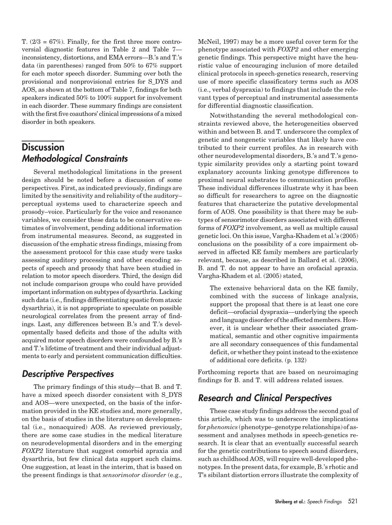T.  $(2/3 = 67\%)$ . Finally, for the first three more controversial diagnostic features in Table 2 and Table 7 inconsistency, distortions, and EMA errors—B.'s and T.'s data (in parentheses) ranged from 50% to 67% support for each motor speech disorder. Summing over both the provisional and nonprovisional entries for S\_DYS and AOS, as shown at the bottom of Table 7, findings for both speakers indicated 50% to 100% support for involvement in each disorder. These summary findings are consistent with the first five coauthors' clinical impressions of a mixed disorder in both speakers.

# **Discussion** Methodological Constraints

Several methodological limitations in the present design should be noted before a discussion of some perspectives. First, as indicated previously, findings are limited by the sensitivity and reliability of the auditory– perceptual systems used to characterize speech and prosody–voice. Particularly for the voice and resonance variables, we consider these data to be conservative estimates of involvement, pending additional information from instrumental measures. Second, as suggested in discussion of the emphatic stress findings, missing from the assessment protocol for this case study were tasks assessing auditory processing and other encoding aspects of speech and prosody that have been studied in relation to motor speech disorders. Third, the design did not include comparison groups who could have provided important information on subtypes of dysarthria. Lacking such data (i.e., findings differentiating spastic from ataxic dysarthria), it is not appropriate to speculate on possible neurological correlates from the present array of findings. Last, any differences between B.'s and T.'s developmentally based deficits and those of the adults with acquired motor speech disorders were confounded by B.'s and T.'s lifetime of treatment and their individual adjustments to early and persistent communication difficulties.

## Descriptive Perspectives

The primary findings of this study—that B. and T. have a mixed speech disorder consistent with S\_DYS and AOS—were unexpected, on the basis of the information provided in the KE studies and, more generally, on the basis of studies in the literature on developmental (i.e., nonacquired) AOS. As reviewed previously, there are some case studies in the medical literature on neurodevelopmental disorders and in the emerging FOXP2 literature that suggest comorbid apraxia and dysarthria, but few clinical data support such claims. One suggestion, at least in the interim, that is based on the present findings is that sensorimotor disorder (e.g., McNeil, 1997) may be a more useful cover term for the phenotype associated with FOXP2 and other emerging genetic findings. This perspective might have the heuristic value of encouraging inclusion of more detailed clinical protocols in speech-genetics research, reserving use of more specific classificatory terms such as AOS (i.e., verbal dyspraxia) to findings that include the relevant types of perceptual and instrumental assessments for differential diagnostic classification.

Notwithstanding the several methodological constraints reviewed above, the heterogeneities observed within and between B. and T. underscore the complex of genetic and nongenetic variables that likely have contributed to their current profiles. As in research with other neurodevelopmental disorders, B.'s and T.'s genotypic similarity provides only a starting point toward explanatory accounts linking genotype differences to proximal neural substrates to communication profiles. These individual differences illustrate why it has been so difficult for researchers to agree on the diagnostic features that characterize the putative developmental form of AOS. One possibility is that there may be subtypes of sensorimotor disorders associated with different forms of FOXP2 involvement, as well as multiple causal genetic loci. On this issue, Vargha-Khadem et al.'s (2005) conclusions on the possibility of a core impairment observed in affected KE family members are particularly relevant, because, as described in Ballard et al. (2006), B. and T. do not appear to have an orofacial apraxia. Vargha-Khadem et al. (2005) stated,

The extensive behavioral data on the KE family, combined with the success of linkage analysis, support the proposal that there is at least one core deficit—orofacial dyspraxia—underlying the speech and language disorder of the affected members. However, it is unclear whether their associated grammatical, semantic and other cognitive impairments are all secondary consequences of this fundamental deficit, or whether they point instead to the existence of additional core deficits. (p. 132)

Forthcoming reports that are based on neuroimaging findings for B. and T. will address related issues.

## Research and Clinical Perspectives

These case study findings address the second goal of this article, which was to underscore the implications for phenomics (phenotype–genotype relationships) of assessment and analyses methods in speech-genetics research. It is clear that an eventually successful search for the genetic contributions to speech sound disorders, such as childhood AOS, will require well-developed phenotypes. In the present data, for example, B.'s rhotic and T's sibilant distortion errors illustrate the complexity of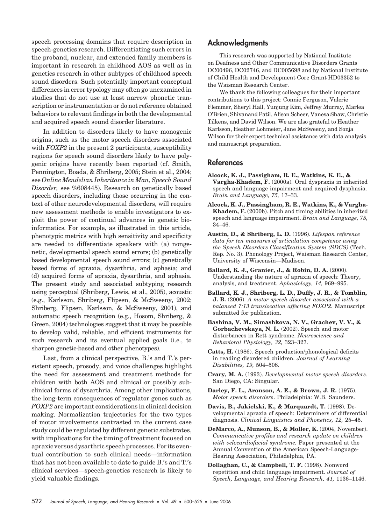speech processing domains that require description in speech-genetics research. Differentiating such errors in the proband, nuclear, and extended family members is important in research in childhood AOS as well as in genetics research in other subtypes of childhood speech sound disorders. Such potentially important conceptual differences in error typology may often go unexamined in studies that do not use at least narrow phonetic transcription or instrumentation or do not reference obtained behaviors to relevant findings in both the developmental and acquired speech sound disorder literature.

In addition to disorders likely to have monogenic origins, such as the motor speech disorders associated with FOXP2 in the present 2 participants, susceptibility regions for speech sound disorders likely to have polygenic origins have recently been reported (cf. Smith, Pennington, Boada, & Shriberg, 2005; Stein et al., 2004; see Online Mendelian Inheritance in Man, Speech Sound Disorder, see %608445). Research on genetically based speech disorders, including those occurring in the context of other neurodevelopmental disorders, will require new assessment methods to enable investigators to exploit the power of continual advances in genetic bioinformatics. For example, as illustrated in this article, phenotypic metrics with high sensitivity and specificity are needed to differentiate speakers with (a) nongenetic, developmental speech sound errors; (b) genetically based developmental speech sound errors; (c) genetically based forms of apraxia, dysarthria, and aphasia; and (d) acquired forms of apraxia, dysarthria, and aphasia. The present study and associated subtyping research using perceptual (Shriberg, Lewis, et al., 2005), acoustic (e.g., Karlsson, Shriberg, Flipsen, & McSweeny, 2002; Shriberg, Flipsen, Karlsson, & McSweeny, 2001), and automatic speech recognition (e.g., Hosom, Shriberg, & Green, 2004) technologies suggest that it may be possible to develop valid, reliable, and efficient instruments for such research and its eventual applied goals (i.e., to sharpen genetic-based and other phenotypes).

Last, from a clinical perspective, B.'s and T.'s persistent speech, prosody, and voice challenges highlight the need for assessment and treatment methods for children with both AOS and clinical or possibly subclinical forms of dysarthria. Among other implications, the long-term consequences of regulator genes such as FOXP2 are important considerations in clinical decision making. Normalization trajectories for the two types of motor involvements contrasted in the current case study could be regulated by different genetic substrates, with implications for the timing of treatment focused on apraxic versus dysarthric speech processes. For its eventual contribution to such clinical needs—information that has not been available to date to guide B.'s and T.'s clinical services—speech-genetics research is likely to yield valuable findings.

### Acknowledgments

This research was supported by National Institute on Deafness and Other Communicative Disorders Grants DC00496, DC02746, and DC005698 and by National Institute of Child Health and Development Core Grant HD03352 to the Waisman Research Center.

We thank the following colleagues for their important contributions to this project: Connie Ferguson, Valerie Flemmer, Sheryl Hall, Yunjung Kim, Jeffrey Murray, Marlea O'Brien, Shivanand Patil, Alison Scheer, Vanesa Shaw, Christie Tilkens, and David Wilson. We are also grateful to Heather Karlsson, Heather Lohmeier, Jane McSweeny, and Sonja Wilson for their expert technical assistance with data analysis and manuscript preparation.

### References

- Alcock, K. J., Passigham, R. E., Watkins, K. E., & Vargha-Khadem, F. (2000a). Oral dyspraxia in inherited speech and language impairment and acquired dysphasia. Brain and Language, 75, 17–33.
- Alcock, K. J., Passingham, R. E., Watkins, K., & Vargha-Khadem, F. (2000b). Pitch and timing abilities in inherited speech and language impairment. Brain and Language, 75, 34–46.
- Austin, D., & Shriberg, L. D. (1996). Lifespan reference data for ten measures of articulation competence using the Speech Disorders Classification System (SDCS) (Tech. Rep. No. 3). Phonology Project, Waisman Research Center, University of Wisconsin—Madison.
- Ballard, K. J., Granier, J., & Robin, D. A. (2000). Understanding the nature of apraxia of speech: Theory, analysis, and treatment. Aphasiology, 14, 969–995.
- Ballard, K. J., Shriberg, L. D., Duffy, J. R., & Tomblin, J. B. (2006). A motor speech disorder associated with a balanced 7:13 translocation affecting FOXP2. Manuscript submitted for publication.
- Bashina, V. M., Simashkova, N. V., Grachev, V. V., & Gorbachevskaya, N. L. (2002). Speech and motor disturbances in Rett syndrome. Neuroscience and Behavioral Physiology, 32, 323–327.
- Catts, H. (1986). Speech production/phonological deficits in reading disordered children. Journal of Learning Disabilities, 19, 504–508.
- Crary, M. A. (1993). Developmental motor speech disorders. San Diego, CA: Singular.
- Darley, F. L., Aronson, A. E., & Brown, J. R. (1975). Motor speech disorders. Philadelphia: W.B. Saunders.
- Davis, B., Jakielski, K., & Marquardt, T. (1998). Developmental apraxia of speech: Determiners of differential diagnosis. Clinical Linguistics and Phonetics, 12, 25–45.
- DeMarco, A., Munson, B., & Moller, K. (2004, November). Communicative profiles and research update on children with velocardiofacial syndrome. Paper presented at the Annual Convention of the American Speech-Language-Hearing Association, Philadelphia, PA.
- Dollaghan, C., & Campbell, T. F. (1998). Nonword repetition and child language impairment. Journal of Speech, Language, and Hearing Research, 41, 1136–1146.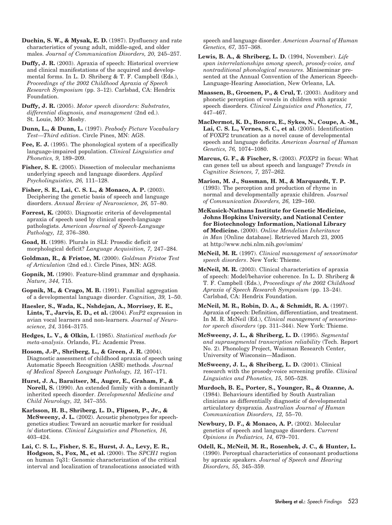Duchin, S. W., & Mysak, E. D. (1987). Dysfluency and rate characteristics of young adult, middle-aged, and older males. Journal of Communication Disorders, 20, 245–257.

Duffy, J. R. (2003). Apraxia of speech: Historical overview and clinical manifestations of the acquired and developmental forms. In L. D. Shriberg & T. F. Campbell (Eds.), Proceedings of the 2002 Childhood Apraxia of Speech Research Symposium (pp. 3–12). Carlsbad, CA: Hendrix Foundation.

Duffy, J. R. (2005). Motor speech disorders: Substrates, differential diagnosis, and management (2nd ed.). St. Louis, MO: Mosby.

Dunn, L., & Dunn, L. (1997). Peabody Picture Vocabulary Test—Third edition. Circle Pines, MN: AGS.

Fee, E. J. (1995). The phonological system of a specifically language-impaired population. Clinical Linguistics and Phonetics, 9, 189–209.

Fisher, S. E. (2005). Dissection of molecular mechanisms underlying speech and language disorders. Applied Psycholinguistics, 26, 111–128.

Fisher, S. E., Lai, C. S. L., & Monaco, A. P. (2003). Deciphering the genetic basis of speech and language disorders. Annual Review of Neuroscience, 26, 57–80.

Forrest, K. (2003). Diagnostic criteria of developmental apraxia of speech used by clinical speech-language pathologists. American Journal of Speech-Language Pathology, 12, 376–380.

Goad, H. (1998). Plurals in SLI: Prosodic deficit or morphological deficit? Language Acquisition, 7, 247–284.

Goldman, R., & Fristoe, M. (2000). Goldman Fristoe Test of Articulation (2nd ed.). Circle Pines, MN: AGS.

Gopnik, M. (1990). Feature-blind grammar and dysphasia. Nature, 344, 715.

Gopnik, M., & Crago, M. B. (1991). Familial aggregation of a developmental language disorder. Cognition, 39, 1–50.

Haesler, S., Wada, K., Nshdejan, A., Morrisey, E. E., Lints, T., Jarvis, E. D., et al. (2004). FoxP2 expression in avian vocal learners and non-learners. Journal of Neuroscience, 24, 3164–3175.

Hedges, L. V., & Olkin, I. (1985). Statistical methods for meta-analysis. Orlando, FL: Academic Press.

Hosom, J.-P., Shriberg, L., & Green, J. R. (2004). Diagnostic assessment of childhood apraxia of speech using Automatic Speech Recognition (ASR) methods. Journal of Medical Speech Language Pathology, 12, 167–171.

Hurst, J. A., Baraitser, M., Auger, E., Graham, F., & Norell, S. (1990). An extended family with a dominantly inherited speech disorder. Developmental Medicine and Child Neurology, 32, 347–355.

Karlsson, H. B., Shriberg, L. D., Flipsen, P., Jr., & McSweeny, J. L. (2002). Acoustic phenotypes for speechgenetics studies: Toward an acoustic marker for residual /s/ distortions. Clinical Linguistics and Phonetics, 16, 403–424.

Lai, C. S. L., Fisher, S. E., Hurst, J. A., Levy, E. R., Hodgson, S., Fox, M., et al. (2000). The SPCH1 region on human 7q31: Genomic characterization of the critical interval and localization of translocations associated with speech and language disorder. American Journal of Human Genetics, 67, 357–368.

Lewis, B. A., & Shriberg, L. D. (1994, November). Life span interrelationships among speech, prosody-voice, and nontraditional phonological measures. Miniseminar presented at the Annual Convention of the American Speech-Language-Hearing Association, New Orleans, LA.

Maassen, B., Groenen, P., & Crul, T. (2003). Auditory and phonetic perception of vowels in children with apraxic speech disorders. Clinical Linguistics and Phonetics, 17, 447–467.

MacDermot, K. D., Bonora, E., Sykes, N., Coupe, A. -M., Lai, C. S. L., Vernes, S. C., et al. (2005). Identification of FOXP2 truncation as a novel cause of developmental speech and language deficits. American Journal of Human Genetics, 76, 1074–1080.

Marcus, G. F., & Fischer, S. (2003). FOXP2 in focus: What can genes tell us about speech and language? Trends in Cognitive Sciences, 7, 257–262.

Marion, M. J., Sussman, H. M., & Marquardt, T. P. (1993). The perception and production of rhyme in normal and developmentally apraxic children. Journal of Communication Disorders, 26, 129–160.

McKusick-Nathans Institute for Genetic Medicine, Johns Hopkins University, and National Center for Biotechnology Information, National Library of Medicine. (2000). Online Mendelian Inheritance in Man [Online database]. Retrieved March 23, 2005 at http://www.ncbi.nlm.nih.gov/omim/

McNeil, M. R. (1997). Clinical management of sensorimotor speech disorders. New York: Thieme.

McNeil, M. R. (2003). Clinical characteristics of apraxia of speech: Model/behavior coherence. In L. D. Shriberg & T. F. Campbell (Eds.), Proceedings of the 2002 Childhood Apraxia of Speech Research Symposium (pp. 13–24). Carlsbad, CA: Hendrix Foundation.

McNeil, M. R., Robin, D. A., & Schmidt, R. A. (1997). Apraxia of speech: Definition, differentiation, and treatment. In M. R. McNeil (Ed.), Clinical management of sensorimotor speech disorders (pp. 311–344). New York: Thieme.

McSweeny, J. L., & Shriberg, L. D. (1995). Segmental and suprasegmental transcription reliability (Tech. Report No. 2). Phonology Project, Waisman Research Center, University of Wisconsin—Madison.

McSweeny, J. L., & Shriberg, L. D. (2001). Clinical research with the prosody-voice screening profile. Clinical Linguistics and Phonetics, 15, 505–528.

Murdoch, B. E., Porter, S., Younger, R., & Ozanne, A. (1984). Behaviours identified by South Australian clinicians as differentially diagnostic of developmental articulatory dyspraxia. Australian Journal of Human Communication Disorders, 12, 55–70.

Newbury, D. F., & Monaco, A. P. (2002). Molecular genetics of speech and language disorders. Current Opinions in Pediatrics, 14, 679–701.

Odell, K., McNeil, M. R., Rosenbek, J. C., & Hunter, L. (1990). Perceptual characteristics of consonant productions by apraxic speakers. Journal of Speech and Hearing Disorders, 55, 345–359.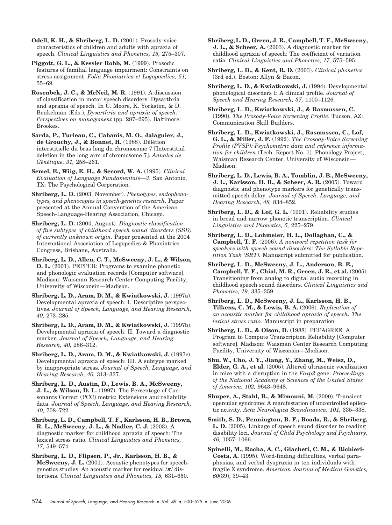Odell, K. H., & Shriberg, L. D. (2001). Prosody-voice characteristics of children and adults with apraxia of speech. Clinical Linguistics and Phonetics, 15, 275–307.

Piggott, G. L., & Kessler Robb, M. (1999). Prosodic features of familial language impairment: Constraints on stress assignment. Folia Phoniatrica et Logopaedica, 51, 55–69.

Rosenbek, J. C., & McNeil, M. R. (1991). A discussion of classification in motor speech disorders: Dysarthria and apraxia of speech. In C. Moore, K. Yorkston, & D. Beukelman (Eds.), Dysarthria and apraxia of speech: Perspectives on management (pp. 287–295). Baltimore: Brookes.

Sarda, P., Turleau, C., Cabanis, M. O., Jalaguier, J., de Grouchy, J., & Bonnet, H. (1988). Délétion interstitielle du bras long du chromosome 7 [Interstitial deletion in the long arm of chromosome 7]. Annales de Génétique, 31, 258–261.

Semel, E., Wiig, E. H., & Secord, W. A. (1995). Clinical Evaluation of Language Fundamentals—3. San Antonio, TX: The Psychological Corporation.

Shriberg, L. D. (2003, November). Phenotypes, endophenotypes, and phenocopies in speech-genetics research. Paper presented at the Annual Convention of the American Speech-Language-Hearing Association, Chicago.

Shriberg, L. D. (2004, August). Diagnostic classification of five subtypes of childhood speech sound disorders (SSD) of currently unknown origin. Paper presented at the 2004 International Association of Logopedics & Phoniatrics Congress, Brisbane, Australia.

Shriberg, L. D., Allen, C. T., McSweeny, J. L., & Wilson, D. L. (2001). PEPPER: Programs to examine phonetic and phonologic evaluation records [Computer software]. Madison: Waisman Research Center Computing Facility, University of Wisconsin—Madison.

Shriberg, L. D., Aram, D. M., & Kwiatkowski, J. (1997a). Developmental apraxia of speech: I. Descriptive perspectives. Journal of Speech, Language, and Hearing Research, 40, 273–285.

Shriberg, L. D., Aram, D. M., & Kwiatkowski, J. (1997b). Developmental apraxia of speech: II. Toward a diagnostic marker. Journal of Speech, Language, and Hearing Research, 40, 286–312.

Shriberg, L. D., Aram, D. M., & Kwiatkowski, J. (1997c). Developmental apraxia of speech: III. A subtype marked by inappropriate stress. Journal of Speech, Language, and Hearing Research, 40, 313–337.

Shriberg, L. D., Austin, D., Lewis, B. A., McSweeny, J. L., & Wilson, D. L. (1997). The Percentage of Consonants Correct (PCC) metric: Extensions and reliability data. Journal of Speech, Language, and Hearing Research, 40, 708–722.

Shriberg, L. D., Campbell, T. F., Karlsson, H. B., Brown, R. L., McSweeny, J. L., & Nadler, C. J. (2003). A diagnostic marker for childhood apraxia of speech: The lexical stress ratio. Clinical Linguistics and Phonetics, 17, 549–574.

Shriberg, L. D., Flipsen, P., Jr., Karlsson, H. B., & McSweeny, J. L. (2001). Acoustic phenotypes for speechgenetics studies: An acoustic marker for residual  $\frac{\partial \mathbf{y}}{\partial s}$  distortions. Clinical Linguistics and Phonetics, 15, 631–650.

Shriberg, L. D., Green, J. R., Campbell, T. F., McSweeny, J. L., & Scheer, A. (2003). A diagnostic marker for childhood apraxia of speech: The coefficient of variation ratio. Clinical Linguistics and Phonetics, 17, 575–595.

Shriberg, L. D., & Kent, R. D. (2003). Clinical phonetics (3rd ed.). Boston: Allyn & Bacon.

Shriberg, L. D., & Kwiatkowski, J. (1994). Developmental phonological disorders I: A clinical profile. Journal of Speech and Hearing Research, 37, 1100–1126.

Shriberg, L. D., Kwiatkowski, J., & Rasmussen, C. (1990). The Prosody-Voice Screening Profile. Tucson, AZ: Communication Skill Builders.

Shriberg, L. D., Kwiatkowski, J., Rasmussen, C., Lof, **G. L., & Miller, J. F.** (1992). The Prosody-Voice Screening Profile (PVSP): Psychometric data and reference information for children (Tech. Report No. 1). Phonology Project, Waisman Research Center, University of Wisconsin— Madison.

Shriberg, L. D., Lewis, B. A., Tomblin, J. B., McSweeny, J. L., Karlsson, H. B., & Scheer, A. R. (2005). Toward diagnostic and phenotype markers for genetically transmitted speech delay. Journal of Speech, Language, and Hearing Research, 48, 834–852.

Shriberg, L. D., & Lof, G. L. (1991). Reliability studies in broad and narrow phonetic transcription. Clinical Linguistics and Phonetics, 5, 225–279.

Shriberg, L. D., Lohmeier, H. L., Dollaghan, C., & Campbell, T. F. (2006). A nonword repetition task for speakers with speech sound disorders: The Syllable Repetition Task (SRT). Manuscript submitted for publication.

Shriberg, L. D., McSweeny, J. L., Anderson, B. E., Campbell, T. F., Chial, M. R., Green, J. R., et al. (2005). Transitioning from analog to digital audio recording in childhood speech sound disorders. Clinical Linguistics and Phonetics, 19, 335–359.

Shriberg, L. D., McSweeny, J. L., Karlsson, H. B., Tilkens, C. M., & Lewis, B. A. (2006). Replication of an acoustic marker for childhood apraxia of speech: The lexical stress ratio. Manuscript in preparation

Shriberg, L. D., & Olson, D. (1988). PEPAGREE: A Program to Compute Transcription Reliability [Computer software]. Madison: Waisman Center Research Computing Facility, University of Wisconsin—Madison.

Shu, W., Cho, J. Y., Jiang, Y., Zhang, M., Weisz, D., Elder, G. A., et al. (2005). Altered ultrasonic vocalization in mice with a disruption in the Foxp2 gene. Proceedings of the National Academy of Sciences of the United States of America, 102, 9643–9648.

Shuper, A., Stahl, B., & Mimouni, M. (2000). Transient opercular syndrome: A manifestation of uncontrolled epileptic activity. Acta Neurologica Scandinavica, 101, 335–338.

Smith, S. D., Pennington, B. F., Boada, R., & Shriberg, L. D. (2005). Linkage of speech sound disorder to reading disability loci. Journal of Child Psychology and Psychiatry, 46, 1057–1066.

Spinelli, M., Rocha, A. C., Giacheti, C. M., & Ricbieri-Costa, A. (1995). Word-finding difficulties, verbal paraphasias, and verbal dyspraxia in ten individuals with fragile X syndrome. American Journal of Medical Genetics, 60(39), 39–43.